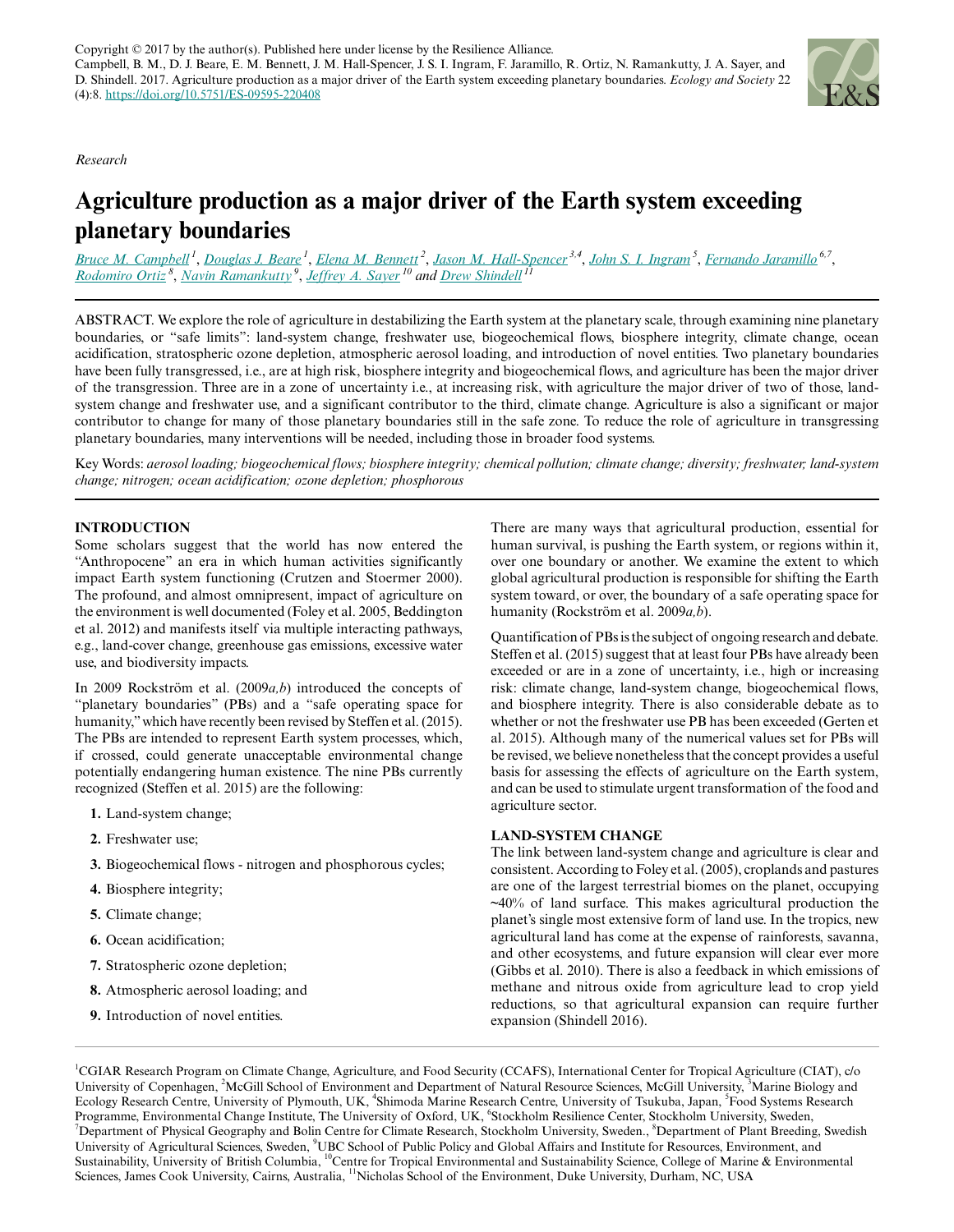## *Research*

# **Agriculture production as a major driver of the Earth system exceeding planetary boundaries**

*[Bruce M. Campbell](mailto:b.campbell@cgiar.org)<sup>1</sup>* , *[Douglas J. Beare](mailto:doug.beare@gmail.com)<sup>1</sup>* , *[Elena M. Bennett](mailto:elena.bennett@mcgill.ca)<sup>2</sup>* , *[Jason M. Hall-Spencer](mailto:jhall-spencer@plymouth.ac.uk) 3,4* , *[John S. I. Ingram](mailto:john.ingram@eci.ox.ac.uk)<sup>5</sup>* , *[Fernando Jaramillo](mailto:fernando.jaramillo@natgeo.su.se) 6,7* , *[Rodomiro Ortiz](mailto:rodomiro.ortiz@slu.se)<sup>8</sup>* , *[Navin Ramankutty](mailto:navin.ramankutty@ubc.ca)<sup>9</sup>* , *[Jeffrey A. Sayer](mailto:jeffrey.sayer@jcu.edu.au)<sup>10</sup> and [Drew Shindell](mailto:drew.shindell@duke.edu)<sup>11</sup>*

ABSTRACT. We explore the role of agriculture in destabilizing the Earth system at the planetary scale, through examining nine planetary boundaries, or "safe limits": land-system change, freshwater use, biogeochemical flows, biosphere integrity, climate change, ocean acidification, stratospheric ozone depletion, atmospheric aerosol loading, and introduction of novel entities. Two planetary boundaries have been fully transgressed, i.e., are at high risk, biosphere integrity and biogeochemical flows, and agriculture has been the major driver of the transgression. Three are in a zone of uncertainty i.e., at increasing risk, with agriculture the major driver of two of those, landsystem change and freshwater use, and a significant contributor to the third, climate change. Agriculture is also a significant or major contributor to change for many of those planetary boundaries still in the safe zone. To reduce the role of agriculture in transgressing planetary boundaries, many interventions will be needed, including those in broader food systems.

Key Words: *aerosol loading; biogeochemical flows; biosphere integrity; chemical pollution; climate change; diversity; freshwater; land-system change; nitrogen; ocean acidification; ozone depletion; phosphorous*

# **INTRODUCTION**

Some scholars suggest that the world has now entered the "Anthropocene" an era in which human activities significantly impact Earth system functioning (Crutzen and Stoermer 2000). The profound, and almost omnipresent, impact of agriculture on the environment is well documented (Foley et al. 2005, Beddington et al. 2012) and manifests itself via multiple interacting pathways, e.g., land-cover change, greenhouse gas emissions, excessive water use, and biodiversity impacts.

In 2009 Rockström et al. (2009*a,b*) introduced the concepts of "planetary boundaries" (PBs) and a "safe operating space for humanity," which have recently been revised by Steffen et al. (2015). The PBs are intended to represent Earth system processes, which, if crossed, could generate unacceptable environmental change potentially endangering human existence. The nine PBs currently recognized (Steffen et al. 2015) are the following:

- **1.** Land-system change;
- **2.** Freshwater use;
- **3.** Biogeochemical flows nitrogen and phosphorous cycles;
- **4.** Biosphere integrity;
- **5.** Climate change;
- **6.** Ocean acidification;
- **7.** Stratospheric ozone depletion;
- **8.** Atmospheric aerosol loading; and
- **9.** Introduction of novel entities.

There are many ways that agricultural production, essential for human survival, is pushing the Earth system, or regions within it, over one boundary or another. We examine the extent to which global agricultural production is responsible for shifting the Earth system toward, or over, the boundary of a safe operating space for humanity (Rockström et al. 2009*a,b*).

Quantification of PBs is the subject of ongoing research and debate. Steffen et al. (2015) suggest that at least four PBs have already been exceeded or are in a zone of uncertainty, i.e., high or increasing risk: climate change, land-system change, biogeochemical flows, and biosphere integrity. There is also considerable debate as to whether or not the freshwater use PB has been exceeded (Gerten et al. 2015). Although many of the numerical values set for PBs will be revised, we believe nonetheless that the concept provides a useful basis for assessing the effects of agriculture on the Earth system, and can be used to stimulate urgent transformation of the food and agriculture sector.

#### **LAND-SYSTEM CHANGE**

The link between land-system change and agriculture is clear and consistent. According to Foley et al. (2005), croplands and pastures are one of the largest terrestrial biomes on the planet, occupying  $\sim$ 40% of land surface. This makes agricultural production the planet's single most extensive form of land use. In the tropics, new agricultural land has come at the expense of rainforests, savanna, and other ecosystems, and future expansion will clear ever more (Gibbs et al. 2010). There is also a feedback in which emissions of methane and nitrous oxide from agriculture lead to crop yield reductions, so that agricultural expansion can require further expansion (Shindell 2016).

<sup>1</sup>CGIAR Research Program on Climate Change, Agriculture, and Food Security (CCAFS), International Center for Tropical Agriculture (CIAT), c/o University of Copenhagen, <sup>2</sup>McGill School of Environment and Department of Natural Resource Sciences, McGill University, <sup>3</sup>Marine Biology and Ecology Research Centre, University of Plymouth, UK, <sup>4</sup>Shimoda Marine Research Centre, University of Tsukuba, Japan, <sup>5</sup>Food Systems Research Programme, Environmental Change Institute, The University of Oxford, UK, <sup>6</sup>Stockholm Resilience Center, Stockholm University, Sweden,  $^7$ Department of Physical Geography and Bolin Centre for Climate Research, Stockholm University, Sweden.,  $^8$ Department of Plant Breeding, Swedish University of Agricultural Sciences, Sweden, <sup>9</sup>UBC School of Public Policy and Global Affairs and Institute for Resources, Environment, and Sustainability, University of British Columbia, <sup>10</sup>Centre for Tropical Environmental and Sustainability Science, College of Marine & Environmental Sciences, James Cook University, Cairns, Australia, <sup>11</sup>Nicholas School of the Environment, Duke University, Durham, NC, USA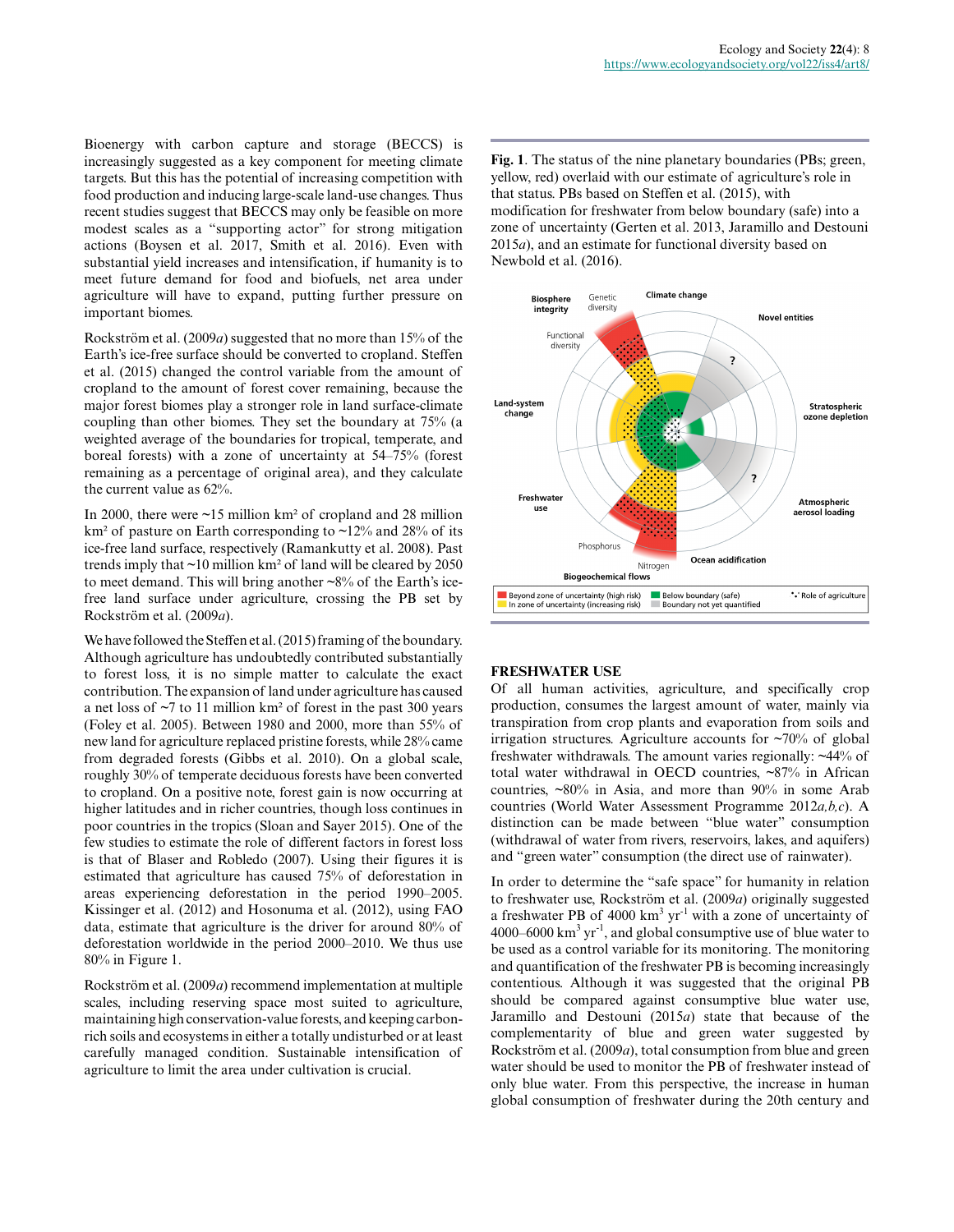Bioenergy with carbon capture and storage (BECCS) is increasingly suggested as a key component for meeting climate targets. But this has the potential of increasing competition with food production and inducing large-scale land-use changes. Thus recent studies suggest that BECCS may only be feasible on more modest scales as a "supporting actor" for strong mitigation actions (Boysen et al. 2017, Smith et al. 2016). Even with substantial yield increases and intensification, if humanity is to meet future demand for food and biofuels, net area under agriculture will have to expand, putting further pressure on important biomes.

Rockström et al. (2009*a*) suggested that no more than 15% of the Earth's ice-free surface should be converted to cropland. Steffen et al. (2015) changed the control variable from the amount of cropland to the amount of forest cover remaining, because the major forest biomes play a stronger role in land surface-climate coupling than other biomes. They set the boundary at 75% (a weighted average of the boundaries for tropical, temperate, and boreal forests) with a zone of uncertainty at 54–75% (forest remaining as a percentage of original area), and they calculate the current value as 62%.

In 2000, there were  $\sim$ 15 million km<sup>2</sup> of cropland and 28 million km<sup>2</sup> of pasture on Earth corresponding to ~12% and 28% of its ice-free land surface, respectively (Ramankutty et al. 2008). Past trends imply that ~10 million km² of land will be cleared by 2050 to meet demand. This will bring another  $\sim 8\%$  of the Earth's icefree land surface under agriculture, crossing the PB set by Rockström et al. (2009*a*).

We have followed the Steffen et al. (2015) framing of the boundary. Although agriculture has undoubtedly contributed substantially to forest loss, it is no simple matter to calculate the exact contribution. The expansion of land under agriculture has caused a net loss of  $\sim$ 7 to 11 million km<sup>2</sup> of forest in the past 300 years (Foley et al. 2005). Between 1980 and 2000, more than 55% of new land for agriculture replaced pristine forests, while 28% came from degraded forests (Gibbs et al. 2010). On a global scale, roughly 30% of temperate deciduous forests have been converted to cropland. On a positive note, forest gain is now occurring at higher latitudes and in richer countries, though loss continues in poor countries in the tropics (Sloan and Sayer 2015). One of the few studies to estimate the role of different factors in forest loss is that of Blaser and Robledo (2007). Using their figures it is estimated that agriculture has caused 75% of deforestation in areas experiencing deforestation in the period 1990–2005. Kissinger et al. (2012) and Hosonuma et al. (2012), using FAO data, estimate that agriculture is the driver for around 80% of deforestation worldwide in the period 2000–2010. We thus use 80% in Figure 1.

Rockström et al. (2009*a*) recommend implementation at multiple scales, including reserving space most suited to agriculture, maintaining high conservation-value forests, and keeping carbonrich soils and ecosystems in either a totally undisturbed or at least carefully managed condition. Sustainable intensification of agriculture to limit the area under cultivation is crucial.

**Fig. 1**. The status of the nine planetary boundaries (PBs; green, yellow, red) overlaid with our estimate of agriculture's role in that status. PBs based on Steffen et al. (2015), with modification for freshwater from below boundary (safe) into a zone of uncertainty (Gerten et al. 2013, Jaramillo and Destouni 2015*a*), and an estimate for functional diversity based on Newbold et al. (2016).



# **FRESHWATER USE**

Of all human activities, agriculture, and specifically crop production, consumes the largest amount of water, mainly via transpiration from crop plants and evaporation from soils and irrigation structures. Agriculture accounts for  $\sim 70\%$  of global freshwater withdrawals. The amount varies regionally: ~44% of total water withdrawal in OECD countries, ~87% in African countries, ~80% in Asia, and more than 90% in some Arab countries (World Water Assessment Programme 2012*a,b,c*). A distinction can be made between "blue water" consumption (withdrawal of water from rivers, reservoirs, lakes, and aquifers) and "green water" consumption (the direct use of rainwater).

In order to determine the "safe space" for humanity in relation to freshwater use, Rockström et al. (2009*a*) originally suggested a freshwater PB of  $4000 \text{ km}^3 \text{ yr}^{-1}$  with a zone of uncertainty of 4000–6000 km $^3$  yr $^{\text{-}1}$ , and global consumptive use of blue water to be used as a control variable for its monitoring. The monitoring and quantification of the freshwater PB is becoming increasingly contentious. Although it was suggested that the original PB should be compared against consumptive blue water use, Jaramillo and Destouni (2015*a*) state that because of the complementarity of blue and green water suggested by Rockström et al. (2009*a*), total consumption from blue and green water should be used to monitor the PB of freshwater instead of only blue water. From this perspective, the increase in human global consumption of freshwater during the 20th century and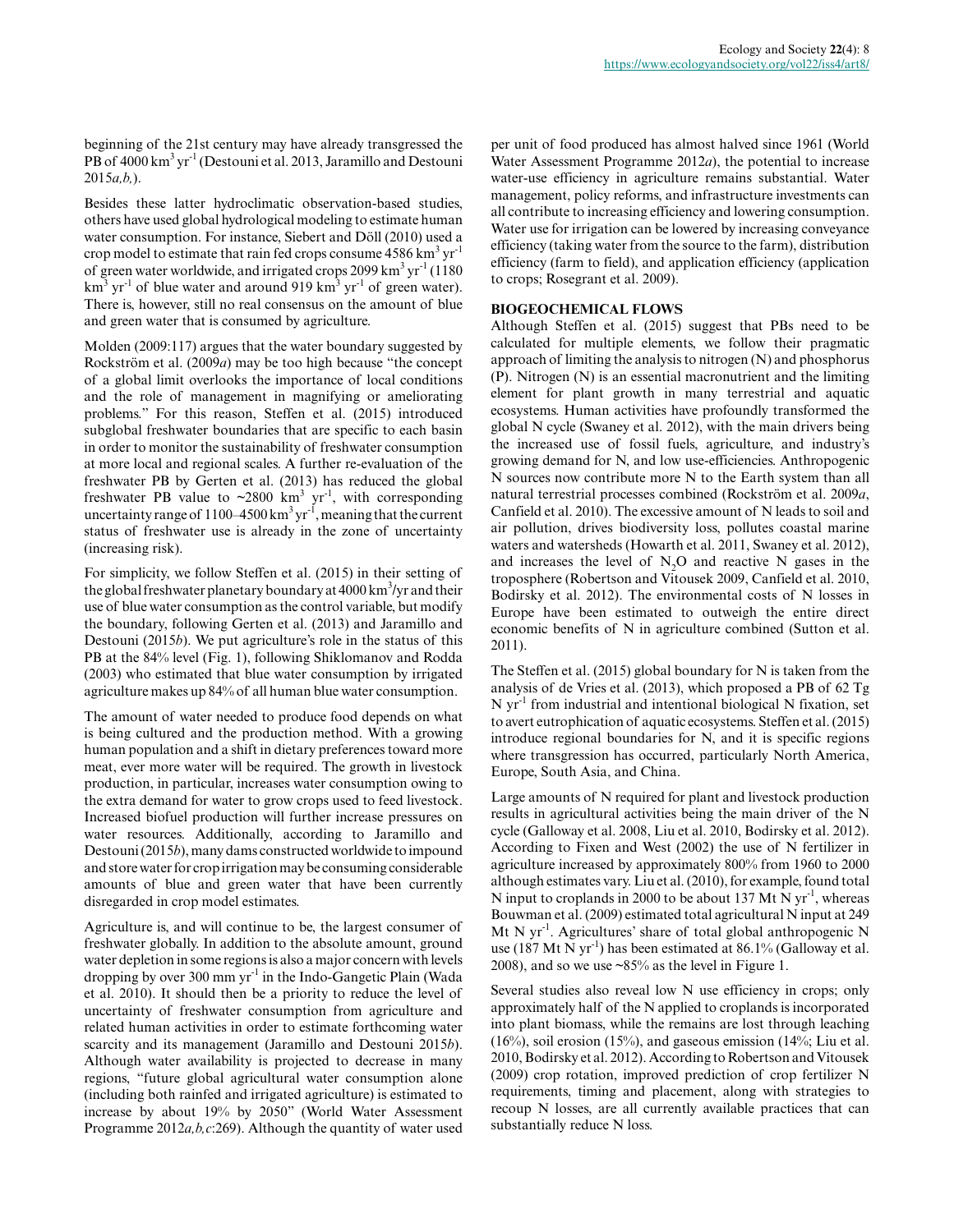beginning of the 21st century may have already transgressed the PB of 4000 km<sup>3</sup> yr<sup>-1</sup> (Destouni et al. 2013, Jaramillo and Destouni 2015*a,b,*).

Besides these latter hydroclimatic observation-based studies, others have used global hydrological modeling to estimate human water consumption. For instance, Siebert and Döll (2010) used a crop model to estimate that rain fed crops consume  $4586 \mathrm{~km}^3 \mathrm{~yr}^1$ of green water worldwide, and irrigated crops 2099 km<sup>3</sup> yr<sup>-1</sup> (1180)  $\text{km}^3$  yr<sup>-1</sup> of blue water and around 919 km<sup>3</sup> yr<sup>-1</sup> of green water). There is, however, still no real consensus on the amount of blue and green water that is consumed by agriculture.

Molden (2009:117) argues that the water boundary suggested by Rockström et al. (2009*a*) may be too high because "the concept of a global limit overlooks the importance of local conditions and the role of management in magnifying or ameliorating problems." For this reason, Steffen et al. (2015) introduced subglobal freshwater boundaries that are specific to each basin in order to monitor the sustainability of freshwater consumption at more local and regional scales. A further re-evaluation of the freshwater PB by Gerten et al. (2013) has reduced the global freshwater PB value to  $\sim 2800 \text{ km}^3 \text{ yr}^1$ , with corresponding uncertainty range of 1100–4500 km<sup>3</sup> yr<sup>-1</sup>, meaning that the current status of freshwater use is already in the zone of uncertainty (increasing risk).

For simplicity, we follow Steffen et al. (2015) in their setting of the global freshwater planetary boundary at 4000 km<sup>3</sup>/yr and their use of blue water consumption as the control variable, but modify the boundary, following Gerten et al. (2013) and Jaramillo and Destouni (2015*b*). We put agriculture's role in the status of this PB at the 84% level (Fig. 1), following Shiklomanov and Rodda (2003) who estimated that blue water consumption by irrigated agriculture makes up 84% of all human blue water consumption.

The amount of water needed to produce food depends on what is being cultured and the production method. With a growing human population and a shift in dietary preferences toward more meat, ever more water will be required. The growth in livestock production, in particular, increases water consumption owing to the extra demand for water to grow crops used to feed livestock. Increased biofuel production will further increase pressures on water resources. Additionally, according to Jaramillo and Destouni (2015*b*), many dams constructed worldwide to impound and store water for crop irrigation may be consuming considerable amounts of blue and green water that have been currently disregarded in crop model estimates.

Agriculture is, and will continue to be, the largest consumer of freshwater globally. In addition to the absolute amount, ground water depletion in some regions is also a major concern with levels dropping by over 300 mm yr<sup>-1</sup> in the Indo-Gangetic Plain (Wada et al. 2010). It should then be a priority to reduce the level of uncertainty of freshwater consumption from agriculture and related human activities in order to estimate forthcoming water scarcity and its management (Jaramillo and Destouni 2015*b*). Although water availability is projected to decrease in many regions, "future global agricultural water consumption alone (including both rainfed and irrigated agriculture) is estimated to increase by about 19% by 2050" (World Water Assessment Programme 2012*a,b,c*:269). Although the quantity of water used per unit of food produced has almost halved since 1961 (World Water Assessment Programme 2012*a*), the potential to increase water-use efficiency in agriculture remains substantial. Water management, policy reforms, and infrastructure investments can all contribute to increasing efficiency and lowering consumption. Water use for irrigation can be lowered by increasing conveyance efficiency (taking water from the source to the farm), distribution efficiency (farm to field), and application efficiency (application to crops; Rosegrant et al. 2009).

# **BIOGEOCHEMICAL FLOWS**

Although Steffen et al. (2015) suggest that PBs need to be calculated for multiple elements, we follow their pragmatic approach of limiting the analysis to nitrogen (N) and phosphorus (P). Nitrogen (N) is an essential macronutrient and the limiting element for plant growth in many terrestrial and aquatic ecosystems. Human activities have profoundly transformed the global N cycle (Swaney et al. 2012), with the main drivers being the increased use of fossil fuels, agriculture, and industry's growing demand for N, and low use-efficiencies. Anthropogenic N sources now contribute more N to the Earth system than all natural terrestrial processes combined (Rockström et al. 2009*a*, Canfield et al. 2010). The excessive amount of N leads to soil and air pollution, drives biodiversity loss, pollutes coastal marine waters and watersheds (Howarth et al. 2011, Swaney et al. 2012), and increases the level of  $N_2O$  and reactive N gases in the troposphere (Robertson and Vitousek 2009, Canfield et al. 2010, Bodirsky et al. 2012). The environmental costs of N losses in Europe have been estimated to outweigh the entire direct economic benefits of N in agriculture combined (Sutton et al. 2011).

The Steffen et al. (2015) global boundary for N is taken from the analysis of de Vries et al. (2013), which proposed a PB of 62 Tg  $N yr<sup>-1</sup>$  from industrial and intentional biological N fixation, set to avert eutrophication of aquatic ecosystems. Steffen et al. (2015) introduce regional boundaries for N, and it is specific regions where transgression has occurred, particularly North America, Europe, South Asia, and China.

Large amounts of N required for plant and livestock production results in agricultural activities being the main driver of the N cycle (Galloway et al. 2008, Liu et al. 2010, Bodirsky et al. 2012). According to Fixen and West (2002) the use of N fertilizer in agriculture increased by approximately 800% from 1960 to 2000 although estimates vary. Liu et al. (2010), for example, found total N input to croplands in 2000 to be about 137 Mt N  $\text{yr}^{-1}$ , whereas Bouwman et al. (2009) estimated total agricultural N input at 249 Mt N  $yr^{-1}$ . Agricultures' share of total global anthropogenic N use (187 Mt N  $vr^{-1}$ ) has been estimated at 86.1% (Galloway et al. 2008), and so we use ~85% as the level in Figure 1.

Several studies also reveal low N use efficiency in crops; only approximately half of the N applied to croplands is incorporated into plant biomass, while the remains are lost through leaching  $(16%)$ , soil erosion  $(15%)$ , and gaseous emission  $(14%)$ ; Liu et al. 2010, Bodirsky et al. 2012). According to Robertson and Vitousek (2009) crop rotation, improved prediction of crop fertilizer N requirements, timing and placement, along with strategies to recoup N losses, are all currently available practices that can substantially reduce N loss.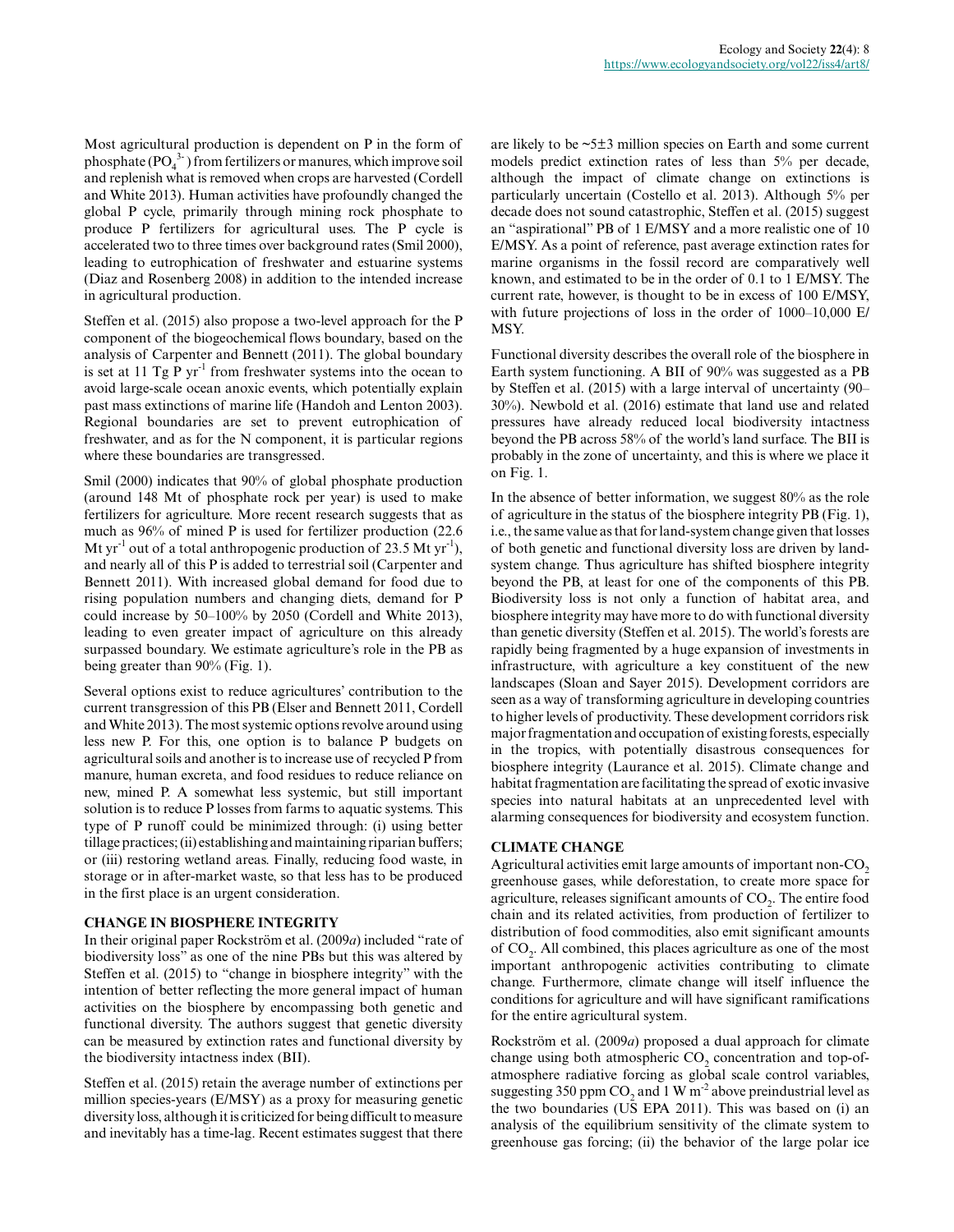Most agricultural production is dependent on P in the form of phosphate  $(PO_4^{3-})$  from fertilizers or manures, which improve soil and replenish what is removed when crops are harvested (Cordell and White 2013). Human activities have profoundly changed the global P cycle, primarily through mining rock phosphate to produce P fertilizers for agricultural uses. The P cycle is accelerated two to three times over background rates (Smil 2000), leading to eutrophication of freshwater and estuarine systems (Diaz and Rosenberg 2008) in addition to the intended increase in agricultural production.

Steffen et al. (2015) also propose a two-level approach for the P component of the biogeochemical flows boundary, based on the analysis of Carpenter and Bennett (2011). The global boundary is set at 11 Tg P  $yr^{-1}$  from freshwater systems into the ocean to avoid large-scale ocean anoxic events, which potentially explain past mass extinctions of marine life (Handoh and Lenton 2003). Regional boundaries are set to prevent eutrophication of freshwater, and as for the N component, it is particular regions where these boundaries are transgressed.

Smil (2000) indicates that 90% of global phosphate production (around 148 Mt of phosphate rock per year) is used to make fertilizers for agriculture. More recent research suggests that as much as 96% of mined P is used for fertilizer production (22.6 Mt yr<sup>-1</sup> out of a total anthropogenic production of 23.5 Mt yr<sup>-1</sup>), and nearly all of this P is added to terrestrial soil (Carpenter and Bennett 2011). With increased global demand for food due to rising population numbers and changing diets, demand for P could increase by 50–100% by 2050 (Cordell and White 2013), leading to even greater impact of agriculture on this already surpassed boundary. We estimate agriculture's role in the PB as being greater than 90% (Fig. 1).

Several options exist to reduce agricultures' contribution to the current transgression of this PB (Elser and Bennett 2011, Cordell and White 2013). The most systemic options revolve around using less new P. For this, one option is to balance P budgets on agricultural soils and another is to increase use of recycled P from manure, human excreta, and food residues to reduce reliance on new, mined P. A somewhat less systemic, but still important solution is to reduce P losses from farms to aquatic systems. This type of P runoff could be minimized through: (i) using better tillage practices; (ii) establishing and maintaining riparian buffers; or (iii) restoring wetland areas. Finally, reducing food waste, in storage or in after-market waste, so that less has to be produced in the first place is an urgent consideration.

#### **CHANGE IN BIOSPHERE INTEGRITY**

In their original paper Rockström et al. (2009*a*) included "rate of biodiversity loss" as one of the nine PBs but this was altered by Steffen et al. (2015) to "change in biosphere integrity" with the intention of better reflecting the more general impact of human activities on the biosphere by encompassing both genetic and functional diversity. The authors suggest that genetic diversity can be measured by extinction rates and functional diversity by the biodiversity intactness index (BII).

Steffen et al. (2015) retain the average number of extinctions per million species-years (E/MSY) as a proxy for measuring genetic diversity loss, although it is criticized for being difficult to measure and inevitably has a time-lag. Recent estimates suggest that there are likely to be ~5±3 million species on Earth and some current models predict extinction rates of less than 5% per decade, although the impact of climate change on extinctions is particularly uncertain (Costello et al. 2013). Although 5% per decade does not sound catastrophic, Steffen et al. (2015) suggest an "aspirational" PB of 1 E/MSY and a more realistic one of 10 E/MSY. As a point of reference, past average extinction rates for marine organisms in the fossil record are comparatively well known, and estimated to be in the order of 0.1 to 1 E/MSY. The current rate, however, is thought to be in excess of 100 E/MSY, with future projections of loss in the order of 1000–10,000 E/ MSY.

Functional diversity describes the overall role of the biosphere in Earth system functioning. A BII of 90% was suggested as a PB by Steffen et al. (2015) with a large interval of uncertainty (90– 30%). Newbold et al. (2016) estimate that land use and related pressures have already reduced local biodiversity intactness beyond the PB across 58% of the world's land surface. The BII is probably in the zone of uncertainty, and this is where we place it on Fig. 1.

In the absence of better information, we suggest 80% as the role of agriculture in the status of the biosphere integrity PB (Fig. 1), i.e., the same value as that for land-system change given that losses of both genetic and functional diversity loss are driven by landsystem change. Thus agriculture has shifted biosphere integrity beyond the PB, at least for one of the components of this PB. Biodiversity loss is not only a function of habitat area, and biosphere integrity may have more to do with functional diversity than genetic diversity (Steffen et al. 2015). The world's forests are rapidly being fragmented by a huge expansion of investments in infrastructure, with agriculture a key constituent of the new landscapes (Sloan and Sayer 2015). Development corridors are seen as a way of transforming agriculture in developing countries to higher levels of productivity. These development corridors risk major fragmentation and occupation of existing forests, especially in the tropics, with potentially disastrous consequences for biosphere integrity (Laurance et al. 2015). Climate change and habitat fragmentation are facilitating the spread of exotic invasive species into natural habitats at an unprecedented level with alarming consequences for biodiversity and ecosystem function.

# **CLIMATE CHANGE**

Agricultural activities emit large amounts of important non-CO<sub>2</sub> greenhouse gases, while deforestation, to create more space for agriculture, releases significant amounts of  $\mathrm{CO}_2$ . The entire food chain and its related activities, from production of fertilizer to distribution of food commodities, also emit significant amounts of  $CO<sub>2</sub>$ . All combined, this places agriculture as one of the most important anthropogenic activities contributing to climate change. Furthermore, climate change will itself influence the conditions for agriculture and will have significant ramifications for the entire agricultural system.

Rockström et al. (2009*a*) proposed a dual approach for climate change using both atmospheric  $CO_2$  concentration and top-ofatmosphere radiative forcing as global scale control variables, suggesting 350 ppm  $CO_2$  and 1 W m<sup>-2</sup> above preindustrial level as the two boundaries (US EPA 2011). This was based on (i) an analysis of the equilibrium sensitivity of the climate system to greenhouse gas forcing; (ii) the behavior of the large polar ice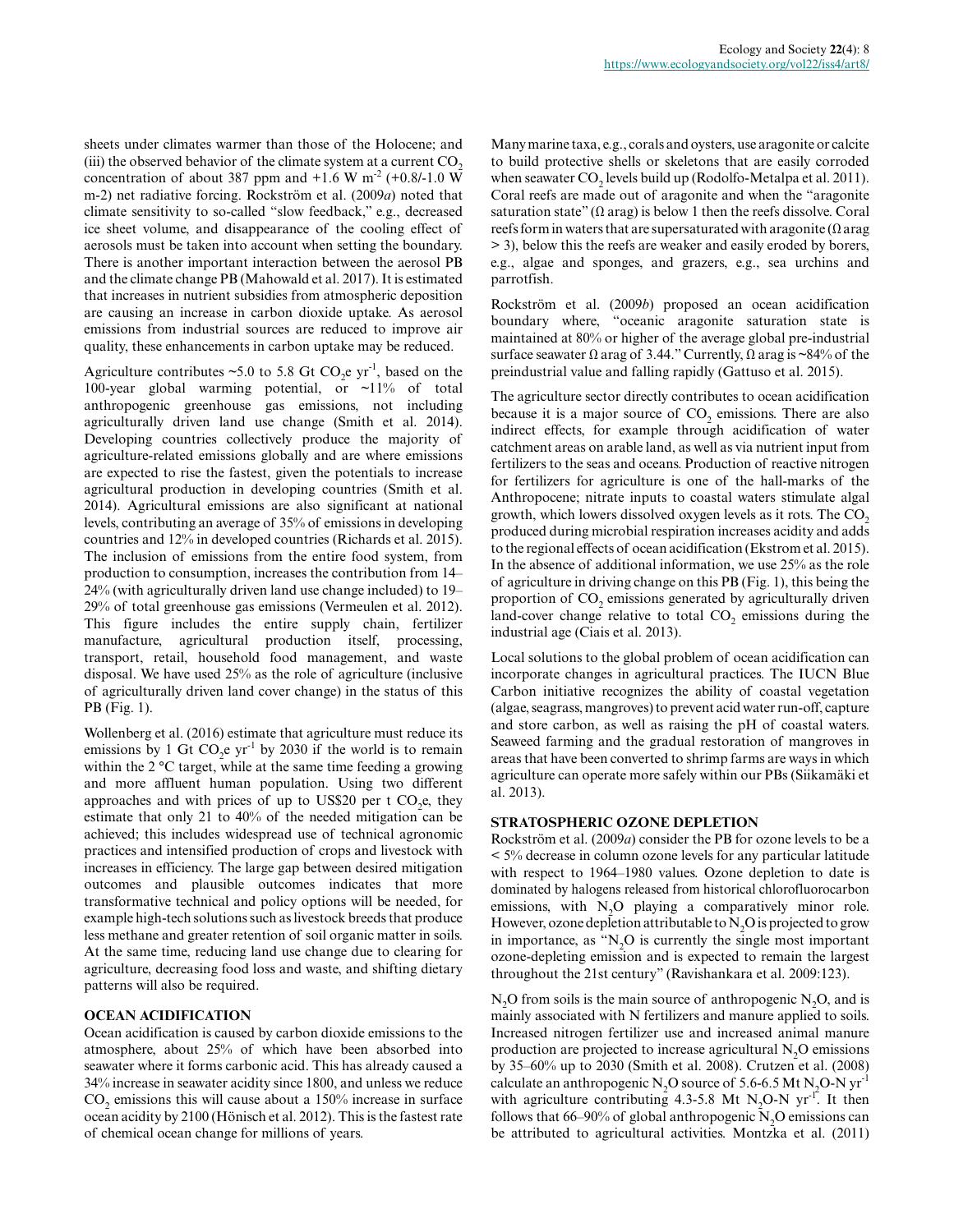sheets under climates warmer than those of the Holocene; and (iii) the observed behavior of the climate system at a current CO<sub>2</sub> concentration of about 387 ppm and  $+1.6$  W m<sup>-2</sup> (+0.8/-1.0 W m-2) net radiative forcing. Rockström et al. (2009*a*) noted that climate sensitivity to so-called "slow feedback," e.g., decreased ice sheet volume, and disappearance of the cooling effect of aerosols must be taken into account when setting the boundary. There is another important interaction between the aerosol PB and the climate change PB (Mahowald et al. 2017). It is estimated that increases in nutrient subsidies from atmospheric deposition are causing an increase in carbon dioxide uptake. As aerosol emissions from industrial sources are reduced to improve air quality, these enhancements in carbon uptake may be reduced.

Agriculture contributes ~5.0 to 5.8 Gt  $CO_2$ e yr<sup>-1</sup>, based on the 100-year global warming potential, or ~11% of total anthropogenic greenhouse gas emissions, not including agriculturally driven land use change (Smith et al. 2014). Developing countries collectively produce the majority of agriculture-related emissions globally and are where emissions are expected to rise the fastest, given the potentials to increase agricultural production in developing countries (Smith et al. 2014). Agricultural emissions are also significant at national levels, contributing an average of 35% of emissions in developing countries and 12% in developed countries (Richards et al. 2015). The inclusion of emissions from the entire food system, from production to consumption, increases the contribution from 14– 24% (with agriculturally driven land use change included) to 19– 29% of total greenhouse gas emissions (Vermeulen et al. 2012). This figure includes the entire supply chain, fertilizer manufacture, agricultural production itself, processing, transport, retail, household food management, and waste disposal. We have used 25% as the role of agriculture (inclusive of agriculturally driven land cover change) in the status of this PB (Fig. 1).

Wollenberg et al. (2016) estimate that agriculture must reduce its emissions by 1 Gt  $CO_2$ e yr<sup>-1</sup> by 2030 if the world is to remain within the 2 °C target, while at the same time feeding a growing and more affluent human population. Using two different approaches and with prices of up to US\$20 per t  $CO<sub>2</sub>e$ , they estimate that only 21 to 40% of the needed mitigation can be achieved; this includes widespread use of technical agronomic practices and intensified production of crops and livestock with increases in efficiency. The large gap between desired mitigation outcomes and plausible outcomes indicates that more transformative technical and policy options will be needed, for example high-tech solutions such as livestock breeds that produce less methane and greater retention of soil organic matter in soils. At the same time, reducing land use change due to clearing for agriculture, decreasing food loss and waste, and shifting dietary patterns will also be required.

# **OCEAN ACIDIFICATION**

Ocean acidification is caused by carbon dioxide emissions to the atmosphere, about 25% of which have been absorbed into seawater where it forms carbonic acid. This has already caused a 34% increase in seawater acidity since 1800, and unless we reduce  $CO<sub>2</sub>$  emissions this will cause about a 150% increase in surface ocean acidity by 2100 (Hönisch et al. 2012). This is the fastest rate of chemical ocean change for millions of years.

Many marine taxa, e.g., corals and oysters, use aragonite or calcite to build protective shells or skeletons that are easily corroded when seawater  $\text{CO}_2$  levels build up (Rodolfo-Metalpa et al. 2011). Coral reefs are made out of aragonite and when the "aragonite saturation state"  $(\Omega \text{ arg})$  is below 1 then the reefs dissolve. Coral reefs form in waters that are supersaturated with aragonite  $(Ω\, area$ > 3), below this the reefs are weaker and easily eroded by borers, e.g., algae and sponges, and grazers, e.g., sea urchins and parrotfish.

Rockström et al. (2009*b*) proposed an ocean acidification boundary where, "oceanic aragonite saturation state is maintained at 80% or higher of the average global pre-industrial surface seawater  $\Omega$  arag of 3.44." Currently,  $\Omega$  arag is ~84% of the preindustrial value and falling rapidly (Gattuso et al. 2015).

The agriculture sector directly contributes to ocean acidification because it is a major source of  $CO<sub>2</sub>$  emissions. There are also indirect effects, for example through acidification of water catchment areas on arable land, as well as via nutrient input from fertilizers to the seas and oceans. Production of reactive nitrogen for fertilizers for agriculture is one of the hall-marks of the Anthropocene; nitrate inputs to coastal waters stimulate algal growth, which lowers dissolved oxygen levels as it rots. The  $CO<sub>2</sub>$ produced during microbial respiration increases acidity and adds to the regional effects of ocean acidification (Ekstrom et al. 2015). In the absence of additional information, we use 25% as the role of agriculture in driving change on this PB (Fig. 1), this being the proportion of  $CO_2$  emissions generated by agriculturally driven land-cover change relative to total  $CO_2$  emissions during the industrial age (Ciais et al. 2013).

Local solutions to the global problem of ocean acidification can incorporate changes in agricultural practices. The IUCN Blue Carbon initiative recognizes the ability of coastal vegetation (algae, seagrass, mangroves) to prevent acid water run-off, capture and store carbon, as well as raising the pH of coastal waters. Seaweed farming and the gradual restoration of mangroves in areas that have been converted to shrimp farms are ways in which agriculture can operate more safely within our PBs (Siikamäki et al. 2013).

# **STRATOSPHERIC OZONE DEPLETION**

Rockström et al. (2009*a*) consider the PB for ozone levels to be a < 5% decrease in column ozone levels for any particular latitude with respect to 1964–1980 values. Ozone depletion to date is dominated by halogens released from historical chlorofluorocarbon emissions, with N<sub>2</sub>O playing a comparatively minor role. However, ozone depletion attributable to  $N_2O$  is projected to grow in importance, as " $N<sub>2</sub>O$  is currently the single most important ozone-depleting emission and is expected to remain the largest throughout the 21st century" (Ravishankara et al. 2009:123).

 $N<sub>2</sub>O$  from soils is the main source of anthropogenic  $N<sub>2</sub>O$ , and is mainly associated with N fertilizers and manure applied to soils. Increased nitrogen fertilizer use and increased animal manure production are projected to increase agricultural  $N<sub>2</sub>O$  emissions by 35–60% up to 2030 (Smith et al. 2008). Crutzen et al. (2008) calculate an anthropogenic N<sub>2</sub>O source of 5.6-6.5 Mt N<sub>2</sub>O-N yr<sup>-1</sup> with agriculture contributing  $4.3\n-5.8$  Mt N<sub>2</sub>O-N yr<sup>-1</sup>. It then follows that  $66-90\%$  of global anthropogenic N<sub>2</sub>O emissions can be attributed to agricultural activities. Montzka et al. (2011)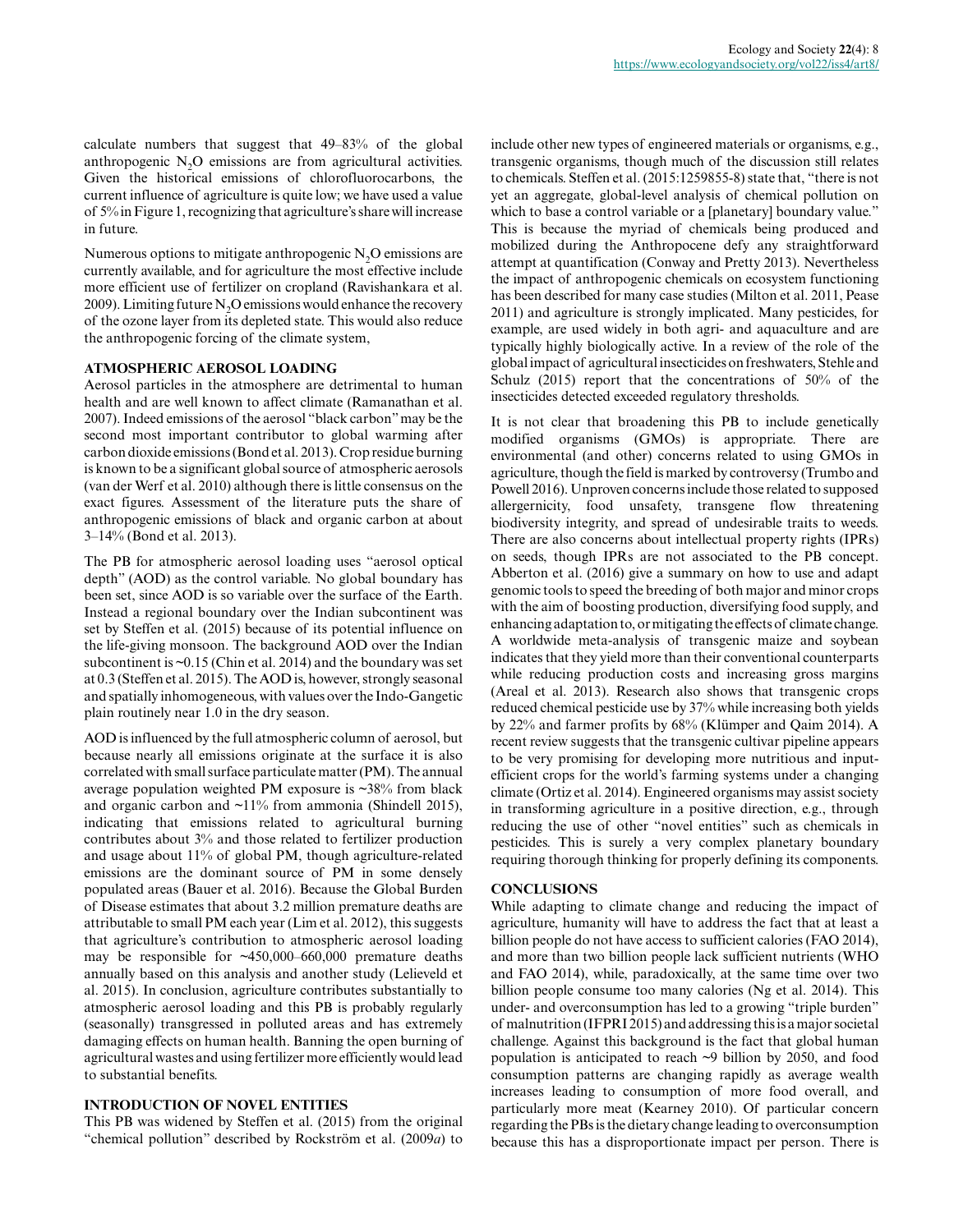calculate numbers that suggest that 49–83% of the global anthropogenic  $N<sub>2</sub>O$  emissions are from agricultural activities. Given the historical emissions of chlorofluorocarbons, the current influence of agriculture is quite low; we have used a value of 5% in Figure 1, recognizing that agriculture's share will increase in future.

Numerous options to mitigate anthropogenic  $N<sub>2</sub>O$  emissions are currently available, and for agriculture the most effective include more efficient use of fertilizer on cropland (Ravishankara et al. 2009). Limiting future N<sub>2</sub>O emissions would enhance the recovery of the ozone layer from its depleted state. This would also reduce the anthropogenic forcing of the climate system,

#### **ATMOSPHERIC AEROSOL LOADING**

Aerosol particles in the atmosphere are detrimental to human health and are well known to affect climate (Ramanathan et al. 2007). Indeed emissions of the aerosol "black carbon" may be the second most important contributor to global warming after carbon dioxide emissions (Bond et al. 2013). Crop residue burning is known to be a significant global source of atmospheric aerosols (van der Werf et al. 2010) although there is little consensus on the exact figures. Assessment of the literature puts the share of anthropogenic emissions of black and organic carbon at about 3–14% (Bond et al. 2013).

The PB for atmospheric aerosol loading uses "aerosol optical depth" (AOD) as the control variable. No global boundary has been set, since AOD is so variable over the surface of the Earth. Instead a regional boundary over the Indian subcontinent was set by Steffen et al. (2015) because of its potential influence on the life-giving monsoon. The background AOD over the Indian subcontinent is ~0.15 (Chin et al. 2014) and the boundary was set at 0.3 (Steffen et al. 2015). The AOD is, however, strongly seasonal and spatially inhomogeneous, with values over the Indo-Gangetic plain routinely near 1.0 in the dry season.

AOD is influenced by the full atmospheric column of aerosol, but because nearly all emissions originate at the surface it is also correlated with small surface particulate matter (PM). The annual average population weighted PM exposure is ~38% from black and organic carbon and  $\sim$ 11% from ammonia (Shindell 2015), indicating that emissions related to agricultural burning contributes about 3% and those related to fertilizer production and usage about 11% of global PM, though agriculture-related emissions are the dominant source of PM in some densely populated areas (Bauer et al. 2016). Because the Global Burden of Disease estimates that about 3.2 million premature deaths are attributable to small PM each year (Lim et al. 2012), this suggests that agriculture's contribution to atmospheric aerosol loading may be responsible for ~450,000–660,000 premature deaths annually based on this analysis and another study (Lelieveld et al. 2015). In conclusion, agriculture contributes substantially to atmospheric aerosol loading and this PB is probably regularly (seasonally) transgressed in polluted areas and has extremely damaging effects on human health. Banning the open burning of agricultural wastes and using fertilizer more efficiently would lead to substantial benefits.

#### **INTRODUCTION OF NOVEL ENTITIES**

This PB was widened by Steffen et al. (2015) from the original "chemical pollution" described by Rockström et al. (2009*a*) to include other new types of engineered materials or organisms, e.g., transgenic organisms, though much of the discussion still relates to chemicals. Steffen et al. (2015:1259855-8) state that, "there is not yet an aggregate, global-level analysis of chemical pollution on which to base a control variable or a [planetary] boundary value." This is because the myriad of chemicals being produced and mobilized during the Anthropocene defy any straightforward attempt at quantification (Conway and Pretty 2013). Nevertheless the impact of anthropogenic chemicals on ecosystem functioning has been described for many case studies (Milton et al. 2011, Pease 2011) and agriculture is strongly implicated. Many pesticides, for example, are used widely in both agri- and aquaculture and are typically highly biologically active. In a review of the role of the global impact of agricultural insecticides on freshwaters, Stehle and Schulz (2015) report that the concentrations of 50% of the insecticides detected exceeded regulatory thresholds.

It is not clear that broadening this PB to include genetically modified organisms (GMOs) is appropriate. There are environmental (and other) concerns related to using GMOs in agriculture, though the field is marked by controversy (Trumbo and Powell 2016). Unproven concerns include those related to supposed allergernicity, food unsafety, transgene flow threatening biodiversity integrity, and spread of undesirable traits to weeds. There are also concerns about intellectual property rights (IPRs) on seeds, though IPRs are not associated to the PB concept. Abberton et al. (2016) give a summary on how to use and adapt genomic tools to speed the breeding of both major and minor crops with the aim of boosting production, diversifying food supply, and enhancing adaptation to, or mitigating the effects of climate change. A worldwide meta-analysis of transgenic maize and soybean indicates that they yield more than their conventional counterparts while reducing production costs and increasing gross margins (Areal et al. 2013). Research also shows that transgenic crops reduced chemical pesticide use by 37% while increasing both yields by 22% and farmer profits by 68% (Klümper and Qaim 2014). A recent review suggests that the transgenic cultivar pipeline appears to be very promising for developing more nutritious and inputefficient crops for the world's farming systems under a changing climate (Ortiz et al. 2014). Engineered organisms may assist society in transforming agriculture in a positive direction, e.g., through reducing the use of other "novel entities" such as chemicals in pesticides. This is surely a very complex planetary boundary requiring thorough thinking for properly defining its components.

#### **CONCLUSIONS**

While adapting to climate change and reducing the impact of agriculture, humanity will have to address the fact that at least a billion people do not have access to sufficient calories (FAO 2014), and more than two billion people lack sufficient nutrients (WHO and FAO 2014), while, paradoxically, at the same time over two billion people consume too many calories (Ng et al. 2014). This under- and overconsumption has led to a growing "triple burden" of malnutrition (IFPRI 2015) and addressing this is a major societal challenge. Against this background is the fact that global human population is anticipated to reach ~9 billion by 2050, and food consumption patterns are changing rapidly as average wealth increases leading to consumption of more food overall, and particularly more meat (Kearney 2010). Of particular concern regarding the PBs is the dietary change leading to overconsumption because this has a disproportionate impact per person. There is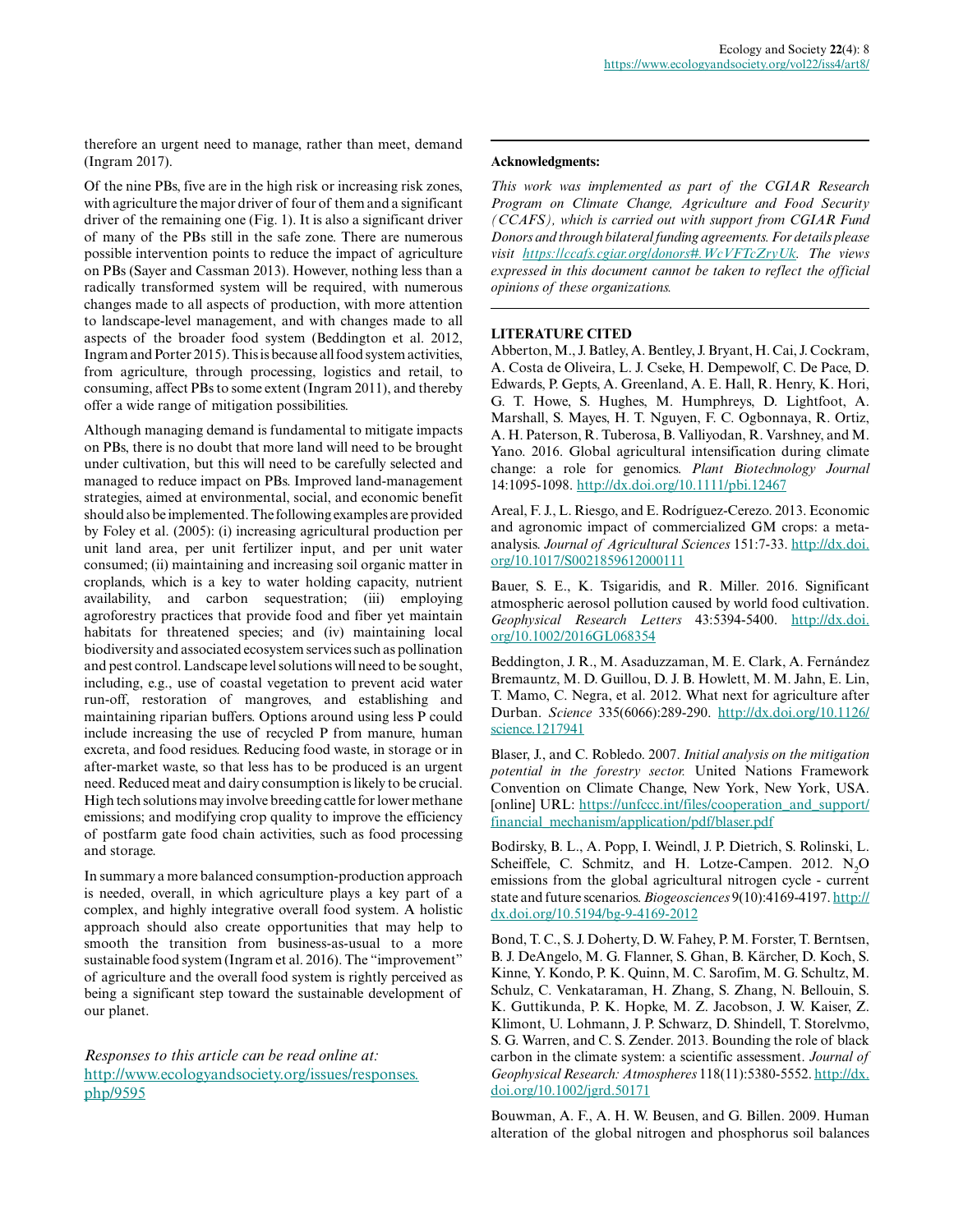therefore an urgent need to manage, rather than meet, demand (Ingram 2017).

Of the nine PBs, five are in the high risk or increasing risk zones, with agriculture the major driver of four of them and a significant driver of the remaining one (Fig. 1). It is also a significant driver of many of the PBs still in the safe zone. There are numerous possible intervention points to reduce the impact of agriculture on PBs (Sayer and Cassman 2013). However, nothing less than a radically transformed system will be required, with numerous changes made to all aspects of production, with more attention to landscape-level management, and with changes made to all aspects of the broader food system (Beddington et al. 2012, Ingram and Porter 2015). This is because all food system activities, from agriculture, through processing, logistics and retail, to consuming, affect PBs to some extent (Ingram 2011), and thereby offer a wide range of mitigation possibilities.

Although managing demand is fundamental to mitigate impacts on PBs, there is no doubt that more land will need to be brought under cultivation, but this will need to be carefully selected and managed to reduce impact on PBs. Improved land-management strategies, aimed at environmental, social, and economic benefit should also be implemented. The following examples are provided by Foley et al. (2005): (i) increasing agricultural production per unit land area, per unit fertilizer input, and per unit water consumed; (ii) maintaining and increasing soil organic matter in croplands, which is a key to water holding capacity, nutrient availability, and carbon sequestration; (iii) employing agroforestry practices that provide food and fiber yet maintain habitats for threatened species; and (iv) maintaining local biodiversity and associated ecosystem services such as pollination and pest control. Landscape level solutions will need to be sought, including, e.g., use of coastal vegetation to prevent acid water run-off, restoration of mangroves, and establishing and maintaining riparian buffers. Options around using less P could include increasing the use of recycled P from manure, human excreta, and food residues. Reducing food waste, in storage or in after-market waste, so that less has to be produced is an urgent need. Reduced meat and dairy consumption is likely to be crucial. High tech solutions may involve breeding cattle for lower methane emissions; and modifying crop quality to improve the efficiency of postfarm gate food chain activities, such as food processing and storage.

In summary a more balanced consumption-production approach is needed, overall, in which agriculture plays a key part of a complex, and highly integrative overall food system. A holistic approach should also create opportunities that may help to smooth the transition from business-as-usual to a more sustainable food system (Ingram et al. 2016). The "improvement" of agriculture and the overall food system is rightly perceived as being a significant step toward the sustainable development of our planet.

*Responses to this article can be read online at:* [http://www.ecologyandsociety.org/issues/responses.](http://www.ecologyandsociety.org/issues/responses.php/9595) [php/9595](http://www.ecologyandsociety.org/issues/responses.php/9595)

#### **Acknowledgments:**

*This work was implemented as part of the CGIAR Research Program on Climate Change, Agriculture and Food Security (CCAFS), which is carried out with support from CGIAR Fund Donors and through bilateral funding agreements. For details please visit <https://ccafs.cgiar.org/donors#.WcVFTcZryUk>. The views expressed in this document cannot be taken to reflect the official opinions of these organizations.*

#### **LITERATURE CITED**

Abberton, M., J. Batley, A. Bentley, J. Bryant, H. Cai, J. Cockram, A. Costa de Oliveira, L. J. Cseke, H. Dempewolf, C. De Pace, D. Edwards, P. Gepts, A. Greenland, A. E. Hall, R. Henry, K. Hori, G. T. Howe, S. Hughes, M. Humphreys, D. Lightfoot, A. Marshall, S. Mayes, H. T. Nguyen, F. C. Ogbonnaya, R. Ortiz, A. H. Paterson, R. Tuberosa, B. Valliyodan, R. Varshney, and M. Yano. 2016. Global agricultural intensification during climate change: a role for genomics. *Plant Biotechnology Journal* 14:1095-1098. [http://dx.doi.org/10.1111/pbi.12467](http://dx.doi.org/10.1111%2Fpbi.12467) 

Areal, F. J., L. Riesgo, and E. Rodríguez-Cerezo. 2013. Economic and agronomic impact of commercialized GM crops: a metaanalysis. *Journal of Agricultural Sciences* 151:7-33. [http://dx.doi.](http://dx.doi.org/10.1017%2FS0021859612000111) [org/10.1017/S0021859612000111](http://dx.doi.org/10.1017%2FS0021859612000111)

Bauer, S. E., K. Tsigaridis, and R. Miller. 2016. Significant atmospheric aerosol pollution caused by world food cultivation. *Geophysical Research Letters* 43:5394-5400. [http://dx.doi.](http://dx.doi.org/10.1002%2F2016GL068354) [org/10.1002/2016GL068354](http://dx.doi.org/10.1002%2F2016GL068354) 

Beddington, J. R., M. Asaduzzaman, M. E. Clark, A. Fernández Bremauntz, M. D. Guillou, D. J. B. Howlett, M. M. Jahn, E. Lin, T. Mamo, C. Negra, et al. 2012. What next for agriculture after Durban. *Science* 335(6066):289-290. [http://dx.doi.org/10.1126/](http://dx.doi.org/10.1126%2Fscience.1217941) [science.1217941](http://dx.doi.org/10.1126%2Fscience.1217941)

Blaser, J., and C. Robledo. 2007. *Initial analysis on the mitigation potential in the forestry sector.* United Nations Framework Convention on Climate Change, New York, New York, USA. [online] URL: [https://unfccc.int/files/cooperation\\_and\\_support/](https://unfccc.int/files/cooperation_and_support/financial_mechanism/application/pdf/blaser.pdf) [financial\\_mechanism/application/pdf/blaser.pdf](https://unfccc.int/files/cooperation_and_support/financial_mechanism/application/pdf/blaser.pdf)

Bodirsky, B. L., A. Popp, I. Weindl, J. P. Dietrich, S. Rolinski, L. Scheiffele, C. Schmitz, and H. Lotze-Campen. 2012. N<sub>2</sub>O emissions from the global agricultural nitrogen cycle - current state and future scenarios. *Biogeosciences* 9(10):4169-4197. [http://](http://dx.doi.org/10.5194%2Fbg-9-4169-2012) [dx.doi.org/10.5194/bg-9-4169-2012](http://dx.doi.org/10.5194%2Fbg-9-4169-2012) 

Bond, T. C., S. J. Doherty, D. W. Fahey, P. M. Forster, T. Berntsen, B. J. DeAngelo, M. G. Flanner, S. Ghan, B. Kärcher, D. Koch, S. Kinne, Y. Kondo, P. K. Quinn, M. C. Sarofim, M. G. Schultz, M. Schulz, C. Venkataraman, H. Zhang, S. Zhang, N. Bellouin, S. K. Guttikunda, P. K. Hopke, M. Z. Jacobson, J. W. Kaiser, Z. Klimont, U. Lohmann, J. P. Schwarz, D. Shindell, T. Storelvmo, S. G. Warren, and C. S. Zender. 2013. Bounding the role of black carbon in the climate system: a scientific assessment. *Journal of Geophysical Research: Atmospheres* 118(11):5380-5552. [http://dx.](http://dx.doi.org/10.1002%2Fjgrd.50171) [doi.org/10.1002/jgrd.50171](http://dx.doi.org/10.1002%2Fjgrd.50171)

Bouwman, A. F., A. H. W. Beusen, and G. Billen. 2009. Human alteration of the global nitrogen and phosphorus soil balances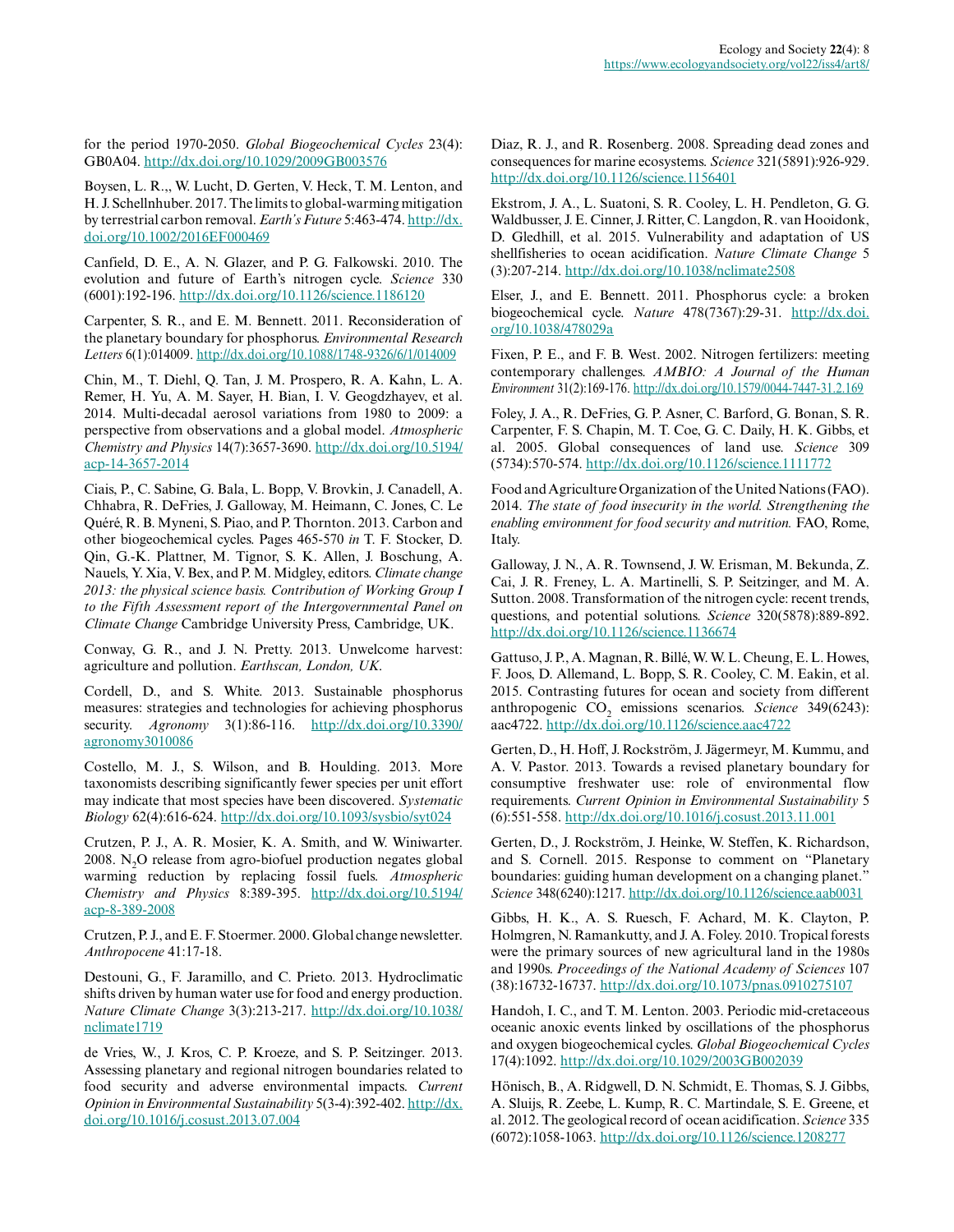for the period 1970-2050. *Global Biogeochemical Cycles* 23(4): GB0A04. [http://dx.doi.org/10.1029/2009GB003576](http://dx.doi.org/10.1029%2F2009GB003576)

Boysen, L. R.,, W. Lucht, D. Gerten, V. Heck, T. M. Lenton, and H. J. Schellnhuber. 2017. The limits to global-warming mitigation by terrestrial carbon removal. *Earth's Future* 5:463-474. [http://dx.](http://dx.doi.org/10.1002%2F2016EF000469) [doi.org/10.1002/2016EF000469](http://dx.doi.org/10.1002%2F2016EF000469)

Canfield, D. E., A. N. Glazer, and P. G. Falkowski. 2010. The evolution and future of Earth's nitrogen cycle. *Science* 330 (6001):192-196. [http://dx.doi.org/10.1126/science.1186120](http://dx.doi.org/10.1126%2Fscience.1186120) 

Carpenter, S. R., and E. M. Bennett. 2011. Reconsideration of the planetary boundary for phosphorus. *Environmental Research Letters* 6(1):014009. [http://dx.doi.org/10.1088/1748-9326/6/1/014009](http://dx.doi.org/10.1088%2F1748-9326%2F6%2F1%2F014009) 

Chin, M., T. Diehl, Q. Tan, J. M. Prospero, R. A. Kahn, L. A. Remer, H. Yu, A. M. Sayer, H. Bian, I. V. Geogdzhayev, et al. 2014. Multi-decadal aerosol variations from 1980 to 2009: a perspective from observations and a global model. *Atmospheric Chemistry and Physics* 14(7):3657-3690. [http://dx.doi.org/10.5194/](http://dx.doi.org/10.5194%2Facp-14-3657-2014) [acp-14-3657-2014](http://dx.doi.org/10.5194%2Facp-14-3657-2014)

Ciais, P., C. Sabine, G. Bala, L. Bopp, V. Brovkin, J. Canadell, A. Chhabra, R. DeFries, J. Galloway, M. Heimann, C. Jones, C. Le Quéré, R. B. Myneni, S. Piao, and P. Thornton. 2013. Carbon and other biogeochemical cycles. Pages 465-570 *in* T. F. Stocker, D. Qin, G.-K. Plattner, M. Tignor, S. K. Allen, J. Boschung, A. Nauels, Y. Xia, V. Bex, and P. M. Midgley, editors. *Climate change 2013: the physical science basis. Contribution of Working Group I to the Fifth Assessment report of the Intergovernmental Panel on Climate Change* Cambridge University Press, Cambridge, UK.

Conway, G. R., and J. N. Pretty. 2013. Unwelcome harvest: agriculture and pollution. *Earthscan, London, UK*.

Cordell, D., and S. White. 2013. Sustainable phosphorus measures: strategies and technologies for achieving phosphorus security. *Agronomy* 3(1):86-116. [http://dx.doi.org/10.3390/](http://dx.doi.org/10.3390%2Fagronomy3010086) [agronomy3010086](http://dx.doi.org/10.3390%2Fagronomy3010086)

Costello, M. J., S. Wilson, and B. Houlding. 2013. More taxonomists describing significantly fewer species per unit effort may indicate that most species have been discovered. *Systematic Biology* 62(4):616-624. [http://dx.doi.org/10.1093/sysbio/syt024](http://dx.doi.org/10.1093%2Fsysbio%2Fsyt024) 

Crutzen, P. J., A. R. Mosier, K. A. Smith, and W. Winiwarter. 2008. N<sub>2</sub>O release from agro-biofuel production negates global warming reduction by replacing fossil fuels. *Atmospheric Chemistry and Physics* 8:389-395. [http://dx.doi.org/10.5194/](http://dx.doi.org/10.5194%2Facp-8-389-2008) [acp-8-389-2008](http://dx.doi.org/10.5194%2Facp-8-389-2008)

Crutzen, P. J., and E. F. Stoermer. 2000. Global change newsletter. *Anthropocene* 41:17-18.

Destouni, G., F. Jaramillo, and C. Prieto. 2013. Hydroclimatic shifts driven by human water use for food and energy production. *Nature Climate Change* 3(3):213-217. [http://dx.doi.org/10.1038/](http://dx.doi.org/10.1038%2Fnclimate1719) [nclimate1719](http://dx.doi.org/10.1038%2Fnclimate1719)

de Vries, W., J. Kros, C. P. Kroeze, and S. P. Seitzinger. 2013. Assessing planetary and regional nitrogen boundaries related to food security and adverse environmental impacts. *Current Opinion in Environmental Sustainability* 5(3-4):392-402. [http://dx.](http://dx.doi.org/10.1016%2Fj.cosust.2013.07.004) [doi.org/10.1016/j.cosust.2013.07.004](http://dx.doi.org/10.1016%2Fj.cosust.2013.07.004) 

Diaz, R. J., and R. Rosenberg. 2008. Spreading dead zones and consequences for marine ecosystems. *Science* 321(5891):926-929. [http://dx.doi.org/10.1126/science.1156401](http://dx.doi.org/10.1126%2Fscience.1156401)

Ekstrom, J. A., L. Suatoni, S. R. Cooley, L. H. Pendleton, G. G. Waldbusser, J. E. Cinner, J. Ritter, C. Langdon, R. van Hooidonk, D. Gledhill, et al. 2015. Vulnerability and adaptation of US shellfisheries to ocean acidification. *Nature Climate Change* 5 (3):207-214. [http://dx.doi.org/10.1038/nclimate2508](http://dx.doi.org/10.1038%2Fnclimate2508)

Elser, J., and E. Bennett. 2011. Phosphorus cycle: a broken biogeochemical cycle. *Nature* 478(7367):29-31. [http://dx.doi.](http://dx.doi.org/10.1038%2F478029a) [org/10.1038/478029a](http://dx.doi.org/10.1038%2F478029a) 

Fixen, P. E., and F. B. West. 2002. Nitrogen fertilizers: meeting contemporary challenges. *AMBIO: A Journal of the Human Environment* 31(2):169-176. [http://dx.doi.org/10.1579/0044-7447-31.2.169](http://dx.doi.org/10.1579%2F0044-7447-31.2.169)

Foley, J. A., R. DeFries, G. P. Asner, C. Barford, G. Bonan, S. R. Carpenter, F. S. Chapin, M. T. Coe, G. C. Daily, H. K. Gibbs, et al. 2005. Global consequences of land use. *Science* 309 (5734):570-574. [http://dx.doi.org/10.1126/science.1111772](http://dx.doi.org/10.1126%2Fscience.1111772) 

Food and Agriculture Organization of the United Nations (FAO). 2014. *The state of food insecurity in the world. Strengthening the enabling environment for food security and nutrition.* FAO, Rome, Italy.

Galloway, J. N., A. R. Townsend, J. W. Erisman, M. Bekunda, Z. Cai, J. R. Freney, L. A. Martinelli, S. P. Seitzinger, and M. A. Sutton. 2008. Transformation of the nitrogen cycle: recent trends, questions, and potential solutions. *Science* 320(5878):889-892. [http://dx.doi.org/10.1126/science.1136674](http://dx.doi.org/10.1126%2Fscience.1136674)

Gattuso, J. P., A. Magnan, R. Billé, W. W. L. Cheung, E. L. Howes, F. Joos, D. Allemand, L. Bopp, S. R. Cooley, C. M. Eakin, et al. 2015. Contrasting futures for ocean and society from different anthropogenic CO<sub>2</sub> emissions scenarios. *Science* 349(6243): aac4722. [http://dx.doi.org/10.1126/science.aac4722](http://dx.doi.org/10.1126%2Fscience.aac4722)

Gerten, D., H. Hoff, J. Rockström, J. Jägermeyr, M. Kummu, and A. V. Pastor. 2013. Towards a revised planetary boundary for consumptive freshwater use: role of environmental flow requirements. *Current Opinion in Environmental Sustainability* 5 (6):551-558. [http://dx.doi.org/10.1016/j.cosust.2013.11.001](http://dx.doi.org/10.1016%2Fj.cosust.2013.11.001)

Gerten, D., J. Rockström, J. Heinke, W. Steffen, K. Richardson, and S. Cornell. 2015. Response to comment on "Planetary boundaries: guiding human development on a changing planet." *Science* 348(6240):1217. [http://dx.doi.org/10.1126/science.aab0031](http://dx.doi.org/10.1126%2Fscience.aab0031) 

Gibbs, H. K., A. S. Ruesch, F. Achard, M. K. Clayton, P. Holmgren, N. Ramankutty, and J. A. Foley. 2010. Tropical forests were the primary sources of new agricultural land in the 1980s and 1990s. *Proceedings of the National Academy of Sciences* 107 (38):16732-16737. [http://dx.doi.org/10.1073/pnas.0910275107](http://dx.doi.org/10.1073%2Fpnas.0910275107)

Handoh, I. C., and T. M. Lenton. 2003. Periodic mid-cretaceous oceanic anoxic events linked by oscillations of the phosphorus and oxygen biogeochemical cycles. *Global Biogeochemical Cycles* 17(4):1092. [http://dx.doi.org/10.1029/2003GB002039](http://dx.doi.org/10.1029%2F2003GB002039)

Hönisch, B., A. Ridgwell, D. N. Schmidt, E. Thomas, S. J. Gibbs, A. Sluijs, R. Zeebe, L. Kump, R. C. Martindale, S. E. Greene, et al. 2012. The geological record of ocean acidification. *Science* 335 (6072):1058-1063. [http://dx.doi.org/10.1126/science.1208277](http://dx.doi.org/10.1126%2Fscience.1208277)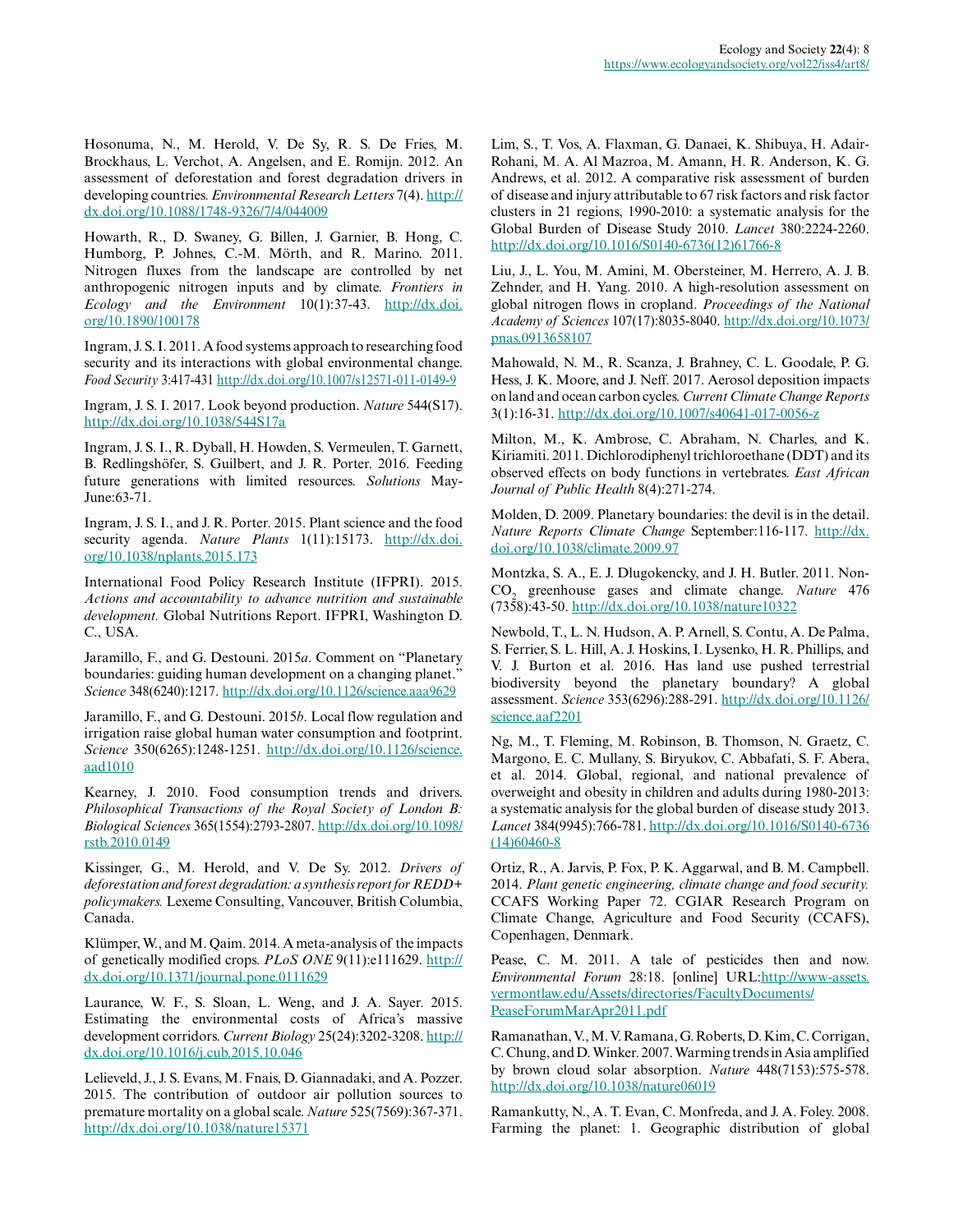Hosonuma, N., M. Herold, V. De Sy, R. S. De Fries, M. Brockhaus, L. Verchot, A. Angelsen, and E. Romijn. 2012. An assessment of deforestation and forest degradation drivers in developing countries. *Environmental Research Letters* 7(4). [http://](http://dx.doi.org/10.1088%2F1748-9326%2F7%2F4%2F044009) [dx.doi.org/10.1088/1748-9326/7/4/044009](http://dx.doi.org/10.1088%2F1748-9326%2F7%2F4%2F044009)

Howarth, R., D. Swaney, G. Billen, J. Garnier, B. Hong, C. Humborg, P. Johnes, C.-M. Mörth, and R. Marino. 2011. Nitrogen fluxes from the landscape are controlled by net anthropogenic nitrogen inputs and by climate. *Frontiers in Ecology and the Environment* 10(1):37-43. [http://dx.doi.](http://dx.doi.org/10.1890%2F100178) [org/10.1890/100178](http://dx.doi.org/10.1890%2F100178)

Ingram, J. S. I. 2011. A food systems approach to researching food security and its interactions with global environmental change. *Food Security* 3:417-431 [http://dx.doi.org/10.1007/s12571-011-0149-9](http://dx.doi.org/10.1007%2Fs12571-011-0149-9) 

Ingram, J. S. I. 2017. Look beyond production. *Nature* 544(S17). <http://dx.doi.org/10.1038/544S17a>

Ingram, J. S. I., R. Dyball, H. Howden, S. Vermeulen, T. Garnett, B. Redlingshöfer, S. Guilbert, and J. R. Porter. 2016. Feeding future generations with limited resources. *Solutions* May-June:63-71.

Ingram, J. S. I., and J. R. Porter. 2015. Plant science and the food security agenda. *Nature Plants* 1(11):15173. [http://dx.doi.](http://dx.doi.org/10.1038%2Fnplants.2015.173) [org/10.1038/nplants.2015.173](http://dx.doi.org/10.1038%2Fnplants.2015.173)

International Food Policy Research Institute (IFPRI). 2015. *Actions and accountability to advance nutrition and sustainable development.* Global Nutritions Report. IFPRI, Washington D. C., USA.

Jaramillo, F., and G. Destouni. 2015*a*. Comment on "Planetary boundaries: guiding human development on a changing planet." *Science* 348(6240):1217. [http://dx.doi.org/10.1126/science.aaa9629](http://dx.doi.org/10.1126%2Fscience.aaa9629) 

Jaramillo, F., and G. Destouni. 2015*b*. Local flow regulation and irrigation raise global human water consumption and footprint. *Science* 350(6265):1248-1251. [http://dx.doi.org/10.1126/science.](http://dx.doi.org/10.1126%2Fscience.aad1010) [aad1010](http://dx.doi.org/10.1126%2Fscience.aad1010) 

Kearney, J. 2010. Food consumption trends and drivers. *Philosophical Transactions of the Royal Society of London B: Biological Sciences* 365(1554):2793-2807. [http://dx.doi.org/10.1098/](http://dx.doi.org/10.1098%2Frstb.2010.0149) [rstb.2010.0149](http://dx.doi.org/10.1098%2Frstb.2010.0149)

Kissinger, G., M. Herold, and V. De Sy. 2012. *Drivers of deforestation and forest degradation: a synthesis report for REDD+ policymakers.* Lexeme Consulting, Vancouver, British Columbia, Canada.

Klümper, W., and M. Qaim. 2014. A meta-analysis of the impacts of genetically modified crops. *PLoS ONE* 9(11):e111629. [http://](http://dx.doi.org/10.1371%2Fjournal.pone.0111629) [dx.doi.org/10.1371/journal.pone.0111629](http://dx.doi.org/10.1371%2Fjournal.pone.0111629)

Laurance, W. F., S. Sloan, L. Weng, and J. A. Sayer. 2015. Estimating the environmental costs of Africa's massive development corridors. *Current Biology* 25(24):3202-3208. [http://](http://dx.doi.org/10.1016%2Fj.cub.2015.10.046) [dx.doi.org/10.1016/j.cub.2015.10.046](http://dx.doi.org/10.1016%2Fj.cub.2015.10.046) 

Lelieveld, J., J. S. Evans, M. Fnais, D. Giannadaki, and A. Pozzer. 2015. The contribution of outdoor air pollution sources to premature mortality on a global scale. *Nature* 525(7569):367-371. [http://dx.doi.org/10.1038/nature15371](http://dx.doi.org/10.1038%2Fnature15371)

Lim, S., T. Vos, A. Flaxman, G. Danaei, K. Shibuya, H. Adair-Rohani, M. A. Al Mazroa, M. Amann, H. R. Anderson, K. G. Andrews, et al. 2012. A comparative risk assessment of burden of disease and injury attributable to 67 risk factors and risk factor clusters in 21 regions, 1990-2010: a systematic analysis for the Global Burden of Disease Study 2010. *Lancet* 380:2224-2260. [http://dx.doi.org/10.1016/S0140-6736\(12\)61766-8](http://dx.doi.org/10.1016%2FS0140-6736%2812%2961766-8)

Liu, J., L. You, M. Amini, M. Obersteiner, M. Herrero, A. J. B. Zehnder, and H. Yang. 2010. A high-resolution assessment on global nitrogen flows in cropland. *Proceedings of the National Academy of Sciences* 107(17):8035-8040. [http://dx.doi.org/10.1073/](http://dx.doi.org/10.1073%2Fpnas.0913658107) [pnas.0913658107](http://dx.doi.org/10.1073%2Fpnas.0913658107) 

Mahowald, N. M., R. Scanza, J. Brahney, C. L. Goodale, P. G. Hess, J. K. Moore, and J. Neff. 2017. Aerosol deposition impacts on land and ocean carbon cycles. *Current Climate Change Reports* 3(1):16-31. [http://dx.doi.org/10.1007/s40641-017-0056-z](http://dx.doi.org/10.1007%2Fs40641-017-0056-z) 

Milton, M., K. Ambrose, C. Abraham, N. Charles, and K. Kiriamiti. 2011. Dichlorodiphenyl trichloroethane (DDT) and its observed effects on body functions in vertebrates. *East African Journal of Public Health* 8(4):271-274.

Molden, D. 2009. Planetary boundaries: the devil is in the detail. *Nature Reports Climate Change* September:116-117. [http://dx.](http://dx.doi.org/10.1038%2Fclimate.2009.97) [doi.org/10.1038/climate.2009.97](http://dx.doi.org/10.1038%2Fclimate.2009.97) 

Montzka, S. A., E. J. Dlugokencky, and J. H. Butler. 2011. Non-CO<sup>2</sup> greenhouse gases and climate change. *Nature* 476 (7358):43-50. [http://dx.doi.org/10.1038/nature10322](http://dx.doi.org/10.1038%2Fnature10322)

Newbold, T., L. N. Hudson, A. P. Arnell, S. Contu, A. De Palma, S. Ferrier, S. L. Hill, A. J. Hoskins, I. Lysenko, H. R. Phillips, and V. J. Burton et al. 2016. Has land use pushed terrestrial biodiversity beyond the planetary boundary? A global assessment. *Science* 353(6296):288-291. [http://dx.doi.org/10.1126/](http://dx.doi.org/10.1126%2Fscience.aaf2201) science.aaf2201

Ng, M., T. Fleming, M. Robinson, B. Thomson, N. Graetz, C. Margono, E. C. Mullany, S. Biryukov, C. Abbafati, S. F. Abera, et al. 2014. Global, regional, and national prevalence of overweight and obesity in children and adults during 1980-2013: a systematic analysis for the global burden of disease study 2013. *Lancet* 384(9945):766-781. [http://dx.doi.org/10.1016/S0140-6736](http://dx.doi.org/10.1016%2FS0140-6736%2814%2960460-8) [\(14\)60460-8](http://dx.doi.org/10.1016%2FS0140-6736%2814%2960460-8) 

Ortiz, R., A. Jarvis, P. Fox, P. K. Aggarwal, and B. M. Campbell. 2014. *Plant genetic engineering, climate change and food security.* CCAFS Working Paper 72. CGIAR Research Program on Climate Change, Agriculture and Food Security (CCAFS), Copenhagen, Denmark.

Pease, C. M. 2011. A tale of pesticides then and now. *Environmental Forum* 28:18. [online] URL[:http://www-assets.](http://www-assets.vermontlaw.edu/Assets/directories/FacultyDocuments/PeaseForumMarApr2011.pdf) [vermontlaw.edu/Assets/directories/FacultyDocuments/](http://www-assets.vermontlaw.edu/Assets/directories/FacultyDocuments/PeaseForumMarApr2011.pdf) [PeaseForumMarApr2011.pdf](http://www-assets.vermontlaw.edu/Assets/directories/FacultyDocuments/PeaseForumMarApr2011.pdf)

Ramanathan, V., M. V. Ramana, G. Roberts, D. Kim, C. Corrigan, C. Chung, and D. Winker. 2007. Warming trends in Asia amplified by brown cloud solar absorption. *Nature* 448(7153):575-578. [http://dx.doi.org/10.1038/nature06019](http://dx.doi.org/10.1038%2Fnature06019)

Ramankutty, N., A. T. Evan, C. Monfreda, and J. A. Foley. 2008. Farming the planet: 1. Geographic distribution of global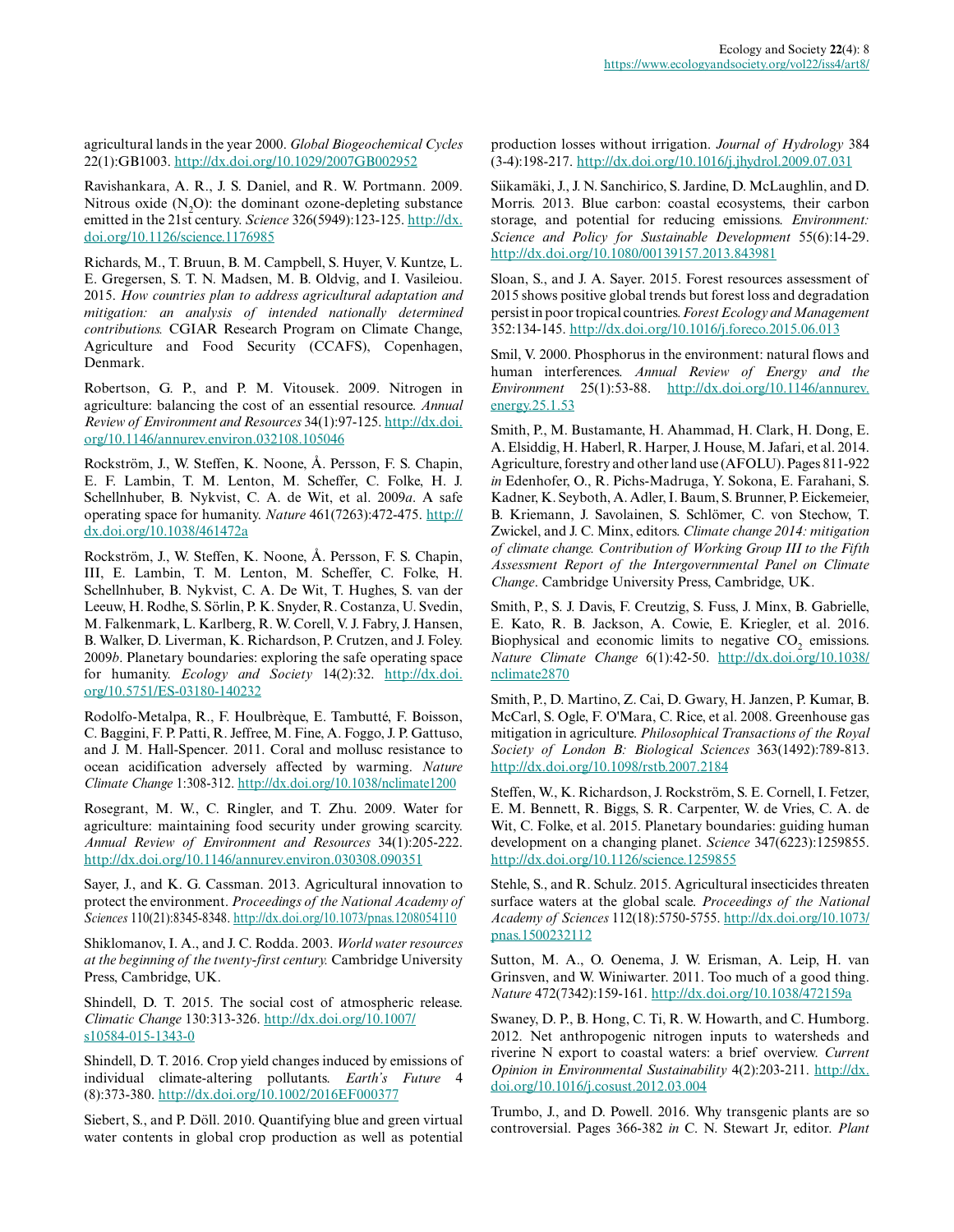agricultural lands in the year 2000. *Global Biogeochemical Cycles* 22(1):GB1003. [http://dx.doi.org/10.1029/2007GB002952](http://dx.doi.org/10.1029%2F2007GB002952) 

Ravishankara, A. R., J. S. Daniel, and R. W. Portmann. 2009. Nitrous oxide  $(N,0)$ : the dominant ozone-depleting substance emitted in the 21st century. *Science* 326(5949):123-125. [http://dx.](http://dx.doi.org/10.1126%2Fscience.1176985) [doi.org/10.1126/science.1176985](http://dx.doi.org/10.1126%2Fscience.1176985)

Richards, M., T. Bruun, B. M. Campbell, S. Huyer, V. Kuntze, L. E. Gregersen, S. T. N. Madsen, M. B. Oldvig, and I. Vasileiou. 2015. *How countries plan to address agricultural adaptation and mitigation: an analysis of intended nationally determined contributions.* CGIAR Research Program on Climate Change, Agriculture and Food Security (CCAFS), Copenhagen, Denmark.

Robertson, G. P., and P. M. Vitousek. 2009. Nitrogen in agriculture: balancing the cost of an essential resource. *Annual Review of Environment and Resources* 34(1):97-125. [http://dx.doi.](http://dx.doi.org/10.1146%2Fannurev.environ.032108.105046) [org/10.1146/annurev.environ.032108.105046](http://dx.doi.org/10.1146%2Fannurev.environ.032108.105046)

Rockström, J., W. Steffen, K. Noone, Å. Persson, F. S. Chapin, E. F. Lambin, T. M. Lenton, M. Scheffer, C. Folke, H. J. Schellnhuber, B. Nykvist, C. A. de Wit, et al. 2009*a*. A safe operating space for humanity. *Nature* 461(7263):472-475. [http://](http://dx.doi.org/10.1038%2F461472a) [dx.doi.org/10.1038/461472a](http://dx.doi.org/10.1038%2F461472a)

Rockström, J., W. Steffen, K. Noone, Å. Persson, F. S. Chapin, III, E. Lambin, T. M. Lenton, M. Scheffer, C. Folke, H. Schellnhuber, B. Nykvist, C. A. De Wit, T. Hughes, S. van der Leeuw, H. Rodhe, S. Sörlin, P. K. Snyder, R. Costanza, U. Svedin, M. Falkenmark, L. Karlberg, R. W. Corell, V. J. Fabry, J. Hansen, B. Walker, D. Liverman, K. Richardson, P. Crutzen, and J. Foley. 2009*b*. Planetary boundaries: exploring the safe operating space for humanity. *Ecology and Society* 14(2):32. [http://dx.doi.](http://dx.doi.org/10.5751%2FES-03180-140232) [org/10.5751/ES-03180-140232](http://dx.doi.org/10.5751%2FES-03180-140232) 

Rodolfo-Metalpa, R., F. Houlbrèque, E. Tambutté, F. Boisson, C. Baggini, F. P. Patti, R. Jeffree, M. Fine, A. Foggo, J. P. Gattuso, and J. M. Hall-Spencer. 2011. Coral and mollusc resistance to ocean acidification adversely affected by warming. *Nature Climate Change* 1:308-312. [http://dx.doi.org/10.1038/nclimate1200](http://dx.doi.org/10.1038%2Fnclimate1200) 

Rosegrant, M. W., C. Ringler, and T. Zhu. 2009. Water for agriculture: maintaining food security under growing scarcity. *Annual Review of Environment and Resources* 34(1):205-222. [http://dx.doi.org/10.1146/annurev.environ.030308.090351](http://dx.doi.org/10.1146%2Fannurev.environ.030308.090351)

Sayer, J., and K. G. Cassman. 2013. Agricultural innovation to protect the environment. *Proceedings of the National Academy of Sciences* 110(21):8345-8348. [http://dx.doi.org/10.1073/pnas.1208054110](http://dx.doi.org/10.1073%2Fpnas.1208054110)

Shiklomanov, I. A., and J. C. Rodda. 2003. *World water resources at the beginning of the twenty-first century.* Cambridge University Press, Cambridge, UK.

Shindell, D. T. 2015. The social cost of atmospheric release. *Climatic Change* 130:313-326. [http://dx.doi.org/10.1007/](http://dx.doi.org/10.1007%2Fs10584-015-1343-0) [s10584-015-1343-0](http://dx.doi.org/10.1007%2Fs10584-015-1343-0) 

Shindell, D. T. 2016. Crop yield changes induced by emissions of individual climate-altering pollutants. *Earth's Future* 4 (8):373-380. [http://dx.doi.org/10.1002/2016EF000377](http://dx.doi.org/10.1002%2F2016EF000377) 

Siebert, S., and P. Döll. 2010. Quantifying blue and green virtual water contents in global crop production as well as potential production losses without irrigation. *Journal of Hydrology* 384 (3-4):198-217. [http://dx.doi.org/10.1016/j.jhydrol.2009.07.031](http://dx.doi.org/10.1016%2Fj.jhydrol.2009.07.031) 

Siikamäki, J., J. N. Sanchirico, S. Jardine, D. McLaughlin, and D. Morris. 2013. Blue carbon: coastal ecosystems, their carbon storage, and potential for reducing emissions. *Environment: Science and Policy for Sustainable Development* 55(6):14-29. [http://dx.doi.org/10.1080/00139157.2013.843981](http://dx.doi.org/10.1080%2F00139157.2013.843981)

Sloan, S., and J. A. Sayer. 2015. Forest resources assessment of 2015 shows positive global trends but forest loss and degradation persist in poor tropical countries. *Forest Ecology and Management* 352:134-145. [http://dx.doi.org/10.1016/j.foreco.2015.06.013](http://dx.doi.org/10.1016%2Fj.foreco.2015.06.013)

Smil, V. 2000. Phosphorus in the environment: natural flows and human interferences. *Annual Review of Energy and the Environment* 25(1):53-88. [http://dx.doi.org/10.1146/annurev.](http://dx.doi.org/10.1146%2Fannurev.energy.25.1.53) [energy.25.1.53](http://dx.doi.org/10.1146%2Fannurev.energy.25.1.53) 

Smith, P., M. Bustamante, H. Ahammad, H. Clark, H. Dong, E. A. Elsiddig, H. Haberl, R. Harper, J. House, M. Jafari, et al. 2014. Agriculture, forestry and other land use (AFOLU). Pages 811-922 *in* Edenhofer, O., R. Pichs-Madruga, Y. Sokona, E. Farahani, S. Kadner, K. Seyboth, A. Adler, I. Baum, S. Brunner, P. Eickemeier, B. Kriemann, J. Savolainen, S. Schlömer, C. von Stechow, T. Zwickel, and J. C. Minx, editors. *Climate change 2014: mitigation of climate change. Contribution of Working Group III to the Fifth Assessment Report of the Intergovernmental Panel on Climate Change*. Cambridge University Press, Cambridge, UK.

Smith, P., S. J. Davis, F. Creutzig, S. Fuss, J. Minx, B. Gabrielle, E. Kato, R. B. Jackson, A. Cowie, E. Kriegler, et al. 2016. Biophysical and economic limits to negative  $CO_2$  emissions. *Nature Climate Change* 6(1):42-50. [http://dx.doi.org/10.1038/](http://dx.doi.org/10.1038%2Fnclimate2870) [nclimate2870](http://dx.doi.org/10.1038%2Fnclimate2870)

Smith, P., D. Martino, Z. Cai, D. Gwary, H. Janzen, P. Kumar, B. McCarl, S. Ogle, F. O'Mara, C. Rice, et al. 2008. Greenhouse gas mitigation in agriculture. *Philosophical Transactions of the Royal Society of London B: Biological Sciences* 363(1492):789-813. [http://dx.doi.org/10.1098/rstb.2007.2184](http://dx.doi.org/10.1098%2Frstb.2007.2184)

Steffen, W., K. Richardson, J. Rockström, S. E. Cornell, I. Fetzer, E. M. Bennett, R. Biggs, S. R. Carpenter, W. de Vries, C. A. de Wit, C. Folke, et al. 2015. Planetary boundaries: guiding human development on a changing planet. *Science* 347(6223):1259855. [http://dx.doi.org/10.1126/science.1259855](http://dx.doi.org/10.1126%2Fscience.1259855)

Stehle, S., and R. Schulz. 2015. Agricultural insecticides threaten surface waters at the global scale. *Proceedings of the National Academy of Sciences* 112(18):5750-5755. [http://dx.doi.org/10.1073/](http://dx.doi.org/10.1073%2Fpnas.1500232112) [pnas.1500232112](http://dx.doi.org/10.1073%2Fpnas.1500232112) 

Sutton, M. A., O. Oenema, J. W. Erisman, A. Leip, H. van Grinsven, and W. Winiwarter. 2011. Too much of a good thing. *Nature* 472(7342):159-161. [http://dx.doi.org/10.1038/472159a](http://dx.doi.org/10.1038%2F472159a) 

Swaney, D. P., B. Hong, C. Ti, R. W. Howarth, and C. Humborg. 2012. Net anthropogenic nitrogen inputs to watersheds and riverine N export to coastal waters: a brief overview. *Current Opinion in Environmental Sustainability* 4(2):203-211. [http://dx.](http://dx.doi.org/10.1016%2Fj.cosust.2012.03.004) [doi.org/10.1016/j.cosust.2012.03.004](http://dx.doi.org/10.1016%2Fj.cosust.2012.03.004) 

Trumbo, J., and D. Powell. 2016. Why transgenic plants are so controversial. Pages 366-382 *in* C. N. Stewart Jr, editor. *Plant*